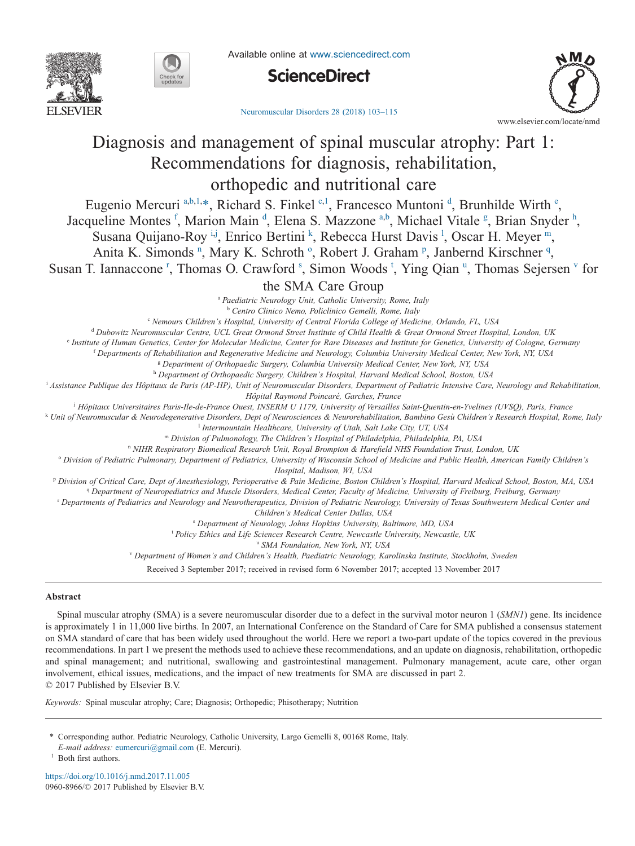



Available online at [www.sciencedirect.com](http://www.sciencedirect.com/science/journal/09608966)





[Neuromuscular Disorders 28 \(2018\) 103–115](https://doi.org/10.1016/j.nmd.2017.11.005)

# Diagnosis and management of spinal muscular atrophy: Part 1: Recommendations for diagnosis, rehabilitation, orthopedic and nutritional care

Eugenio Mercuri<sup>[a,](#page-0-0)[b,](#page-0-1)[1,](#page-0-2)\*</sup>, Ri[c](#page-0-4)hard S. Finkel<sup>c[,1](#page-0-2)</sup>, Francesco Muntoni<sup>[d](#page-0-5)</sup>, Brunhild[e](#page-0-6) Wirth<sup>e</sup>,

Jacqueline Montes [f](#page-0-7), Marion Main [d](#page-0-5), Elen[a](#page-0-0) S. Mazzone a[,b](#page-0-1), Michael Vitale <sup>[g](#page-0-8)</sup>, Brian Snyder [h](#page-0-9),

Susana Quijano-Roy<sup>[i,](#page-0-10)[j](#page-0-11)</sup>, Enrico Bertini<sup>[k](#page-0-12)</sup>, Rebecca Hurst Davis<sup>1</sup>, Oscar H. Meyer<sup>m</sup>,

A[n](#page-0-15)ita K. Sim[o](#page-0-16)nds<su[p](#page-0-17)>n</sup>, Mary K. Schroth<sup>o</sup>, Robert J. Graham<sup>p</sup>, Janbernd Kirschner<sup>[q](#page-0-18)</sup>,

Susan T. Iannaccone<sup>[r](#page-0-19)</[s](#page-0-20)up>, Thomas O. Crawford<sup>s</sup>, Simon Woods<sup>[t](#page-0-21)</s[u](#page-0-22)p>, Ying Qian<sup>u</sup>, Thomas Sejersen<sup>[v](#page-0-23)</sup> for

the SMA Care Group

<span id="page-0-0"></span><sup>a</sup> *Paediatric Neurology Unit, Catholic University, Rome, Italy*

<span id="page-0-1"></span><sup>b</sup> *Centro Clinico Nemo, Policlinico Gemelli, Rome, Italy*

<span id="page-0-4"></span><sup>c</sup> *Nemours Children's Hospital, University of Central Florida College of Medicine, Orlando, FL, USA*

<span id="page-0-5"></span><sup>d</sup> *Dubowitz Neuromuscular Centre, UCL Great Ormond Street Institute of Child Health & Great Ormond Street Hospital, London, UK*

<span id="page-0-6"></span><sup>e</sup> *Institute of Human Genetics, Center for Molecular Medicine, Center for Rare Diseases and Institute for Genetics, University of Cologne, Germany*

<span id="page-0-7"></span><sup>f</sup> *Departments of Rehabilitation and Regenerative Medicine and Neurology, Columbia University Medical Center, New York, NY, USA*

<span id="page-0-8"></span><sup>g</sup> *Department of Orthopaedic Surgery, Columbia University Medical Center, New York, NY, USA*

<span id="page-0-9"></span><sup>h</sup> *Department of Orthopaedic Surgery, Children's Hospital, Harvard Medical School, Boston, USA*

<span id="page-0-10"></span><sup>i</sup> *Assistance Publique des Hôpitaux de Paris (AP-HP), Unit of Neuromuscular Disorders, Department of Pediatric Intensive Care, Neurology and Rehabilitation, Hôpital Raymond Poincaré, Garches, France*

<span id="page-0-11"></span><sup>j</sup> *Hôpitaux Universitaires Paris-Ile-de-France Ouest, INSERM U 1179, University of Versailles Saint-Quentin-en-Yvelines (UVSQ), Paris, France*

<span id="page-0-12"></span><sup>k</sup> *Unit of Neuromuscular & Neurodegenerative Disorders, Dept of Neurosciences & Neurorehabilitation, Bambino Gesù Children's Research Hospital, Rome, Italy*

<span id="page-0-13"></span><sup>l</sup> *Intermountain Healthcare, University of Utah, Salt Lake City, UT, USA*

<span id="page-0-14"></span><sup>m</sup> *Division of Pulmonology, The Children's Hospital of Philadelphia, Philadelphia, PA, USA*

<span id="page-0-15"></span><sup>n</sup> *NIHR Respiratory Biomedical Research Unit, Royal Brompton & Harefield NHS Foundation Trust, London, UK*

<span id="page-0-16"></span><sup>o</sup> *Division of Pediatric Pulmonary, Department of Pediatrics, University of Wisconsin School of Medicine and Public Health, American Family Children's*

*Hospital, Madison, WI, USA*

<span id="page-0-17"></span><sup>p</sup> *Division of Critical Care, Dept of Anesthesiology, Perioperative & Pain Medicine, Boston Children's Hospital, Harvard Medical School, Boston, MA, USA*

<span id="page-0-18"></span><sup>q</sup> *Department of Neuropediatrics and Muscle Disorders, Medical Center, Faculty of Medicine, University of Freiburg, Freiburg, Germany*

<span id="page-0-19"></span><sup>r</sup> *Departments of Pediatrics and Neurology and Neurotherapeutics, Division of Pediatric Neurology, University of Texas Southwestern Medical Center and*

*Children's Medical Center Dallas, USA*

<span id="page-0-20"></span><sup>s</sup> *Department of Neurology, Johns Hopkins University, Baltimore, MD, USA*

<span id="page-0-21"></span><sup>t</sup> *Policy Ethics and Life Sciences Research Centre, Newcastle University, Newcastle, UK*

<span id="page-0-22"></span><sup>u</sup> *SMA Foundation, New York, NY, USA*

<span id="page-0-23"></span><sup>v</sup> *Department of Women's and Children's Health, Paediatric Neurology, Karolinska Institute, Stockholm, Sweden*

Received 3 September 2017; received in revised form 6 November 2017; accepted 13 November 2017

#### **Abstract**

Spinal muscular atrophy (SMA) is a severe neuromuscular disorder due to a defect in the survival motor neuron 1 (*SMN1*) gene. Its incidence is approximately 1 in 11,000 live births. In 2007, an International Conference on the Standard of Care for SMA published a consensus statement on SMA standard of care that has been widely used throughout the world. Here we report a two-part update of the topics covered in the previous recommendations. In part 1 we present the methods used to achieve these recommendations, and an update on diagnosis, rehabilitation, orthopedic and spinal management; and nutritional, swallowing and gastrointestinal management. Pulmonary management, acute care, other organ involvement, ethical issues, medications, and the impact of new treatments for SMA are discussed in part 2. © 2017 Published by Elsevier B.V.

*Keywords:* Spinal muscular atrophy; Care; Diagnosis; Orthopedic; Phisotherapy; Nutrition

<span id="page-0-3"></span>\* Corresponding author. Pediatric Neurology, Catholic University, Largo Gemelli 8, 00168 Rome, Italy.

<span id="page-0-2"></span>*E-mail address:* [eumercuri@gmail.com](mailto:eumercuri@gmail.com) (E. Mercuri).

<sup>1</sup> Both first authors.

https://doi.org/10.1016/j.nmd.2017.11.005 0960-8966/© 2017 Published by Elsevier B.V.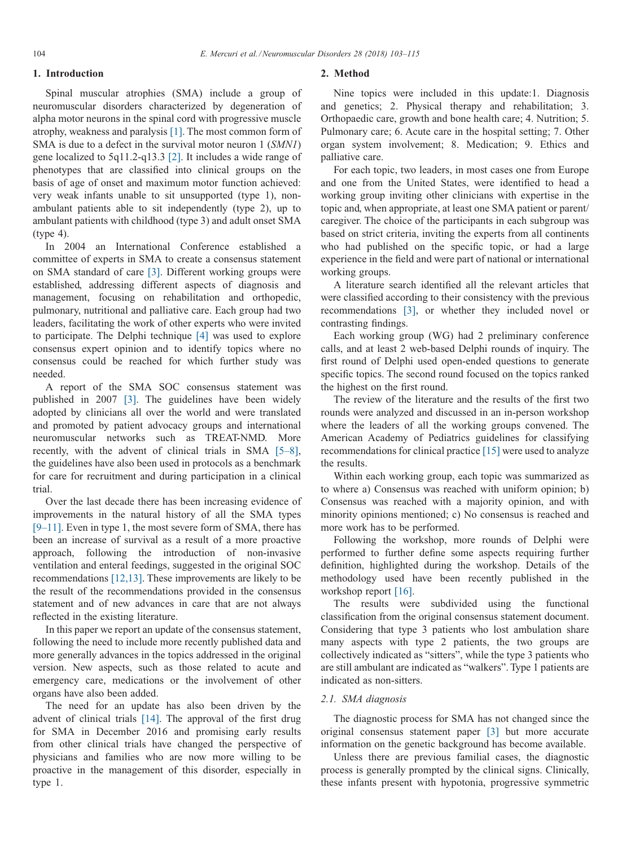## **1. Introduction**

Spinal muscular atrophies (SMA) include a group of neuromuscular disorders characterized by degeneration of alpha motor neurons in the spinal cord with progressive muscle atrophy, weakness and paralysis [\[1\].](#page-9-0) The most common form of SMA is due to a defect in the survival motor neuron 1 (*SMN1*) gene localized to 5q11.2-q13.3 [\[2\].](#page-9-1) It includes a wide range of phenotypes that are classified into clinical groups on the basis of age of onset and maximum motor function achieved: very weak infants unable to sit unsupported (type 1), nonambulant patients able to sit independently (type 2), up to ambulant patients with childhood (type 3) and adult onset SMA (type 4).

In 2004 an International Conference established a committee of experts in SMA to create a consensus statement on SMA standard of care [\[3\].](#page-9-2) Different working groups were established, addressing different aspects of diagnosis and management, focusing on rehabilitation and orthopedic, pulmonary, nutritional and palliative care. Each group had two leaders, facilitating the work of other experts who were invited to participate. The Delphi technique [\[4\]](#page-9-3) was used to explore consensus expert opinion and to identify topics where no consensus could be reached for which further study was needed.

A report of the SMA SOC consensus statement was published in 2007 [\[3\].](#page-9-2) The guidelines have been widely adopted by clinicians all over the world and were translated and promoted by patient advocacy groups and international neuromuscular networks such as TREAT-NMD. More recently, with the advent of clinical trials in SMA [\[5–8\],](#page-9-4) the guidelines have also been used in protocols as a benchmark for care for recruitment and during participation in a clinical trial.

Over the last decade there has been increasing evidence of improvements in the natural history of all the SMA types [\[9–11\].](#page-10-0) Even in type 1, the most severe form of SMA, there has been an increase of survival as a result of a more proactive approach, following the introduction of non-invasive ventilation and enteral feedings, suggested in the original SOC recommendations [\[12,13\].](#page-10-1) These improvements are likely to be the result of the recommendations provided in the consensus statement and of new advances in care that are not always reflected in the existing literature.

In this paper we report an update of the consensus statement, following the need to include more recently published data and more generally advances in the topics addressed in the original version. New aspects, such as those related to acute and emergency care, medications or the involvement of other organs have also been added.

The need for an update has also been driven by the advent of clinical trials [\[14\].](#page-10-2) The approval of the first drug for SMA in December 2016 and promising early results from other clinical trials have changed the perspective of physicians and families who are now more willing to be proactive in the management of this disorder, especially in type 1.

## **2. Method**

Nine topics were included in this update:1. Diagnosis and genetics; 2. Physical therapy and rehabilitation; 3. Orthopaedic care, growth and bone health care; 4. Nutrition; 5. Pulmonary care; 6. Acute care in the hospital setting; 7. Other organ system involvement; 8. Medication; 9. Ethics and palliative care.

For each topic, two leaders, in most cases one from Europe and one from the United States, were identified to head a working group inviting other clinicians with expertise in the topic and, when appropriate, at least one SMA patient or parent/ caregiver. The choice of the participants in each subgroup was based on strict criteria, inviting the experts from all continents who had published on the specific topic, or had a large experience in the field and were part of national or international working groups.

A literature search identified all the relevant articles that were classified according to their consistency with the previous recommendations [\[3\],](#page-9-2) or whether they included novel or contrasting findings.

Each working group (WG) had 2 preliminary conference calls, and at least 2 web-based Delphi rounds of inquiry. The first round of Delphi used open-ended questions to generate specific topics. The second round focused on the topics ranked the highest on the first round.

The review of the literature and the results of the first two rounds were analyzed and discussed in an in-person workshop where the leaders of all the working groups convened. The American Academy of Pediatrics guidelines for classifying recommendations for clinical practice [\[15\]](#page-10-3) were used to analyze the results.

Within each working group, each topic was summarized as to where a) Consensus was reached with uniform opinion; b) Consensus was reached with a majority opinion, and with minority opinions mentioned; c) No consensus is reached and more work has to be performed.

Following the workshop, more rounds of Delphi were performed to further define some aspects requiring further definition, highlighted during the workshop. Details of the methodology used have been recently published in the workshop report [\[16\].](#page-10-4)

The results were subdivided using the functional classification from the original consensus statement document. Considering that type 3 patients who lost ambulation share many aspects with type 2 patients, the two groups are collectively indicated as "sitters", while the type 3 patients who are still ambulant are indicated as "walkers". Type 1 patients are indicated as non-sitters.

#### *2.1. SMA diagnosis*

The diagnostic process for SMA has not changed since the original consensus statement paper [\[3\]](#page-9-2) but more accurate information on the genetic background has become available.

Unless there are previous familial cases, the diagnostic process is generally prompted by the clinical signs. Clinically, these infants present with hypotonia, progressive symmetric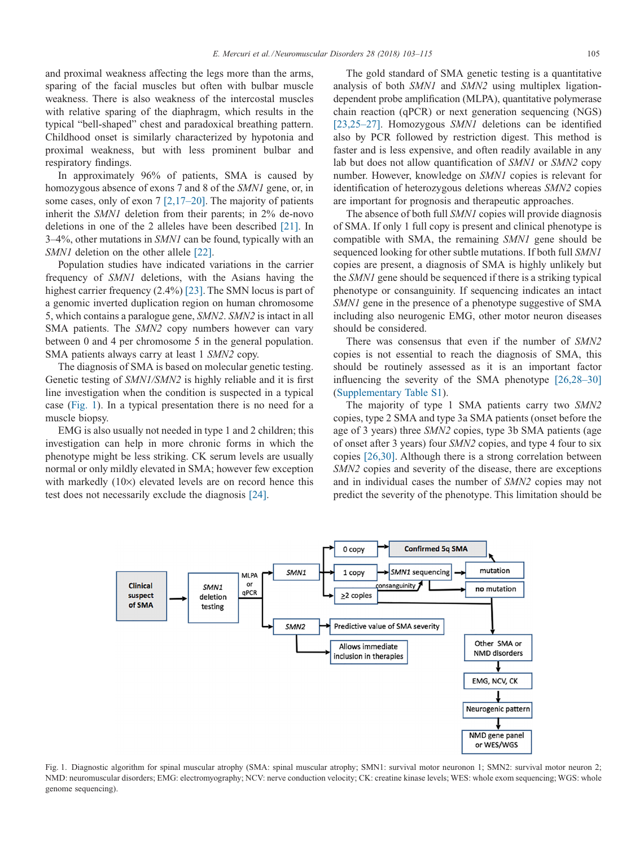and proximal weakness affecting the legs more than the arms, sparing of the facial muscles but often with bulbar muscle weakness. There is also weakness of the intercostal muscles with relative sparing of the diaphragm, which results in the typical "bell-shaped" chest and paradoxical breathing pattern. Childhood onset is similarly characterized by hypotonia and proximal weakness, but with less prominent bulbar and respiratory findings.

In approximately 96% of patients, SMA is caused by homozygous absence of exons 7 and 8 of the *SMN1* gene, or, in some cases, only of exon  $7 \left[2, 17-20\right]$ . The majority of patients inherit the *SMN1* deletion from their parents; in 2% de-novo deletions in one of the 2 alleles have been described [\[21\].](#page-10-5) In 3–4%, other mutations in *SMN1* can be found, typically with an *SMN1* deletion on the other allele [\[22\].](#page-10-6)

Population studies have indicated variations in the carrier frequency of *SMN1* deletions, with the Asians having the highest carrier frequency (2.4%) [\[23\].](#page-10-7) The SMN locus is part of a genomic inverted duplication region on human chromosome 5, which contains a paralogue gene, *SMN2*. *SMN2* is intact in all SMA patients. The *SMN2* copy numbers however can vary between 0 and 4 per chromosome 5 in the general population. SMA patients always carry at least 1 *SMN2* copy.

The diagnosis of SMA is based on molecular genetic testing. Genetic testing of *SMN1/SMN2* is highly reliable and it is first line investigation when the condition is suspected in a typical case (Fig. 1). In a typical presentation there is no need for a muscle biopsy.

EMG is also usually not needed in type 1 and 2 children; this investigation can help in more chronic forms in which the phenotype might be less striking. CK serum levels are usually normal or only mildly elevated in SMA; however few exception with markedly (10×) elevated levels are on record hence this test does not necessarily exclude the diagnosis [\[24\].](#page-10-8)

The gold standard of SMA genetic testing is a quantitative analysis of both *SMN1* and *SMN2* using multiplex ligationdependent probe amplification (MLPA), quantitative polymerase chain reaction (qPCR) or next generation sequencing (NGS) [\[23,25–27\].](#page-10-7) Homozygous *SMN1* deletions can be identified also by PCR followed by restriction digest. This method is faster and is less expensive, and often readily available in any lab but does not allow quantification of *SMN1* or *SMN2* copy number. However, knowledge on *SMN1* copies is relevant for identification of heterozygous deletions whereas *SMN2* copies are important for prognosis and therapeutic approaches.

The absence of both full *SMN1* copies will provide diagnosis of SMA. If only 1 full copy is present and clinical phenotype is compatible with SMA, the remaining *SMN1* gene should be sequenced looking for other subtle mutations. If both full *SMN1* copies are present, a diagnosis of SMA is highly unlikely but the *SMN1* gene should be sequenced if there is a striking typical phenotype or consanguinity. If sequencing indicates an intact *SMN1* gene in the presence of a phenotype suggestive of SMA including also neurogenic EMG, other motor neuron diseases should be considered.

There was consensus that even if the number of *SMN2* copies is not essential to reach the diagnosis of SMA, this should be routinely assessed as it is an important factor influencing the severity of the SMA phenotype [\[26,28–30\]](#page-10-9) (Supplementary Table S1).

The majority of type 1 SMA patients carry two *SMN2* copies, type 2 SMA and type 3a SMA patients (onset before the age of 3 years) three *SMN2* copies, type 3b SMA patients (age of onset after 3 years) four *SMN2* copies, and type 4 four to six copies [\[26,30\].](#page-10-9) Although there is a strong correlation between *SMN2* copies and severity of the disease, there are exceptions and in individual cases the number of *SMN2* copies may not predict the severity of the phenotype. This limitation should be



Fig. 1. Diagnostic algorithm for spinal muscular atrophy (SMA: spinal muscular atrophy; SMN1: survival motor neuronon 1; SMN2: survival motor neuron 2; NMD: neuromuscular disorders; EMG: electromyography; NCV: nerve conduction velocity; CK: creatine kinase levels; WES: whole exom sequencing; WGS: whole genome sequencing).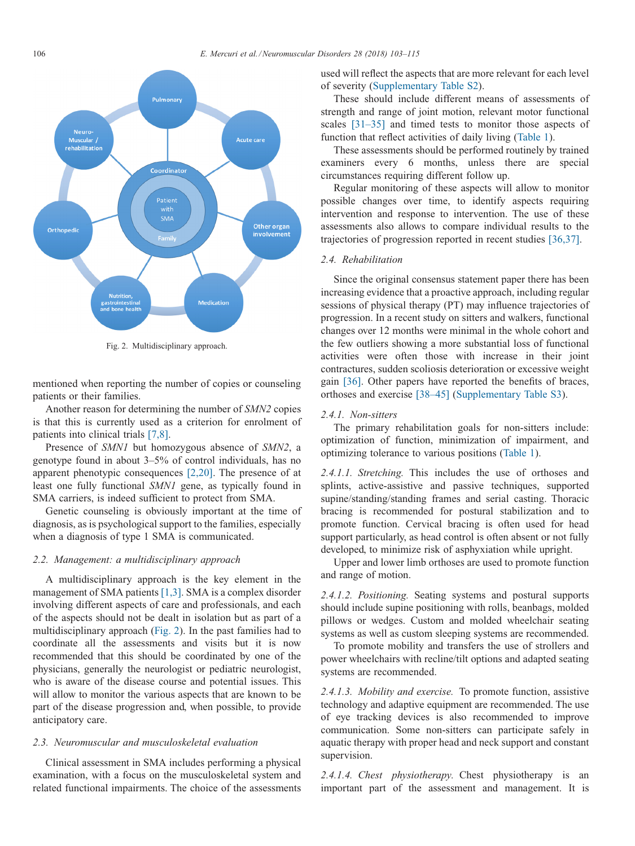

Fig. 2. Multidisciplinary approach.

mentioned when reporting the number of copies or counseling patients or their families.

Another reason for determining the number of *SMN2* copies is that this is currently used as a criterion for enrolment of patients into clinical trials [\[7,8\].](#page-9-5)

Presence of *SMN1* but homozygous absence of *SMN2*, a genotype found in about 3–5% of control individuals, has no apparent phenotypic consequences [\[2,20\].](#page-9-1) The presence of at least one fully functional *SMN1* gene, as typically found in SMA carriers, is indeed sufficient to protect from SMA.

Genetic counseling is obviously important at the time of diagnosis, as is psychological support to the families, especially when a diagnosis of type 1 SMA is communicated.

## *2.2. Management: a multidisciplinary approach*

A multidisciplinary approach is the key element in the management of SMA patients [\[1,3\].](#page-9-0) SMA is a complex disorder involving different aspects of care and professionals, and each of the aspects should not be dealt in isolation but as part of a multidisciplinary approach (Fig. 2). In the past families had to coordinate all the assessments and visits but it is now recommended that this should be coordinated by one of the physicians, generally the neurologist or pediatric neurologist, who is aware of the disease course and potential issues. This will allow to monitor the various aspects that are known to be part of the disease progression and, when possible, to provide anticipatory care.

## *2.3. Neuromuscular and musculoskeletal evaluation*

Clinical assessment in SMA includes performing a physical examination, with a focus on the musculoskeletal system and related functional impairments. The choice of the assessments used will reflect the aspects that are more relevant for each level of severity (Supplementary Table S2).

These should include different means of assessments of strength and range of joint motion, relevant motor functional scales [\[31–35\]](#page-10-10) and timed tests to monitor those aspects of function that reflect activities of daily living [\(Table 1\)](#page-4-0).

These assessments should be performed routinely by trained examiners every 6 months, unless there are special circumstances requiring different follow up.

Regular monitoring of these aspects will allow to monitor possible changes over time, to identify aspects requiring intervention and response to intervention. The use of these assessments also allows to compare individual results to the trajectories of progression reported in recent studies [\[36,37\].](#page-10-11)

## *2.4. Rehabilitation*

Since the original consensus statement paper there has been increasing evidence that a proactive approach, including regular sessions of physical therapy (PT) may influence trajectories of progression. In a recent study on sitters and walkers, functional changes over 12 months were minimal in the whole cohort and the few outliers showing a more substantial loss of functional activities were often those with increase in their joint contractures, sudden scoliosis deterioration or excessive weight gain [\[36\].](#page-10-11) Other papers have reported the benefits of braces, orthoses and exercise [\[38–45\]](#page-10-12) (Supplementary Table S3).

#### *2.4.1. Non-sitters*

The primary rehabilitation goals for non-sitters include: optimization of function, minimization of impairment, and optimizing tolerance to various positions [\(Table 1\)](#page-4-0).

*2.4.1.1. Stretching.* This includes the use of orthoses and splints, active-assistive and passive techniques, supported supine/standing/standing frames and serial casting. Thoracic bracing is recommended for postural stabilization and to promote function. Cervical bracing is often used for head support particularly, as head control is often absent or not fully developed, to minimize risk of asphyxiation while upright.

Upper and lower limb orthoses are used to promote function and range of motion.

*2.4.1.2. Positioning.* Seating systems and postural supports should include supine positioning with rolls, beanbags, molded pillows or wedges. Custom and molded wheelchair seating systems as well as custom sleeping systems are recommended.

To promote mobility and transfers the use of strollers and power wheelchairs with recline/tilt options and adapted seating systems are recommended.

*2.4.1.3. Mobility and exercise.* To promote function, assistive technology and adaptive equipment are recommended. The use of eye tracking devices is also recommended to improve communication. Some non-sitters can participate safely in aquatic therapy with proper head and neck support and constant supervision.

*2.4.1.4. Chest physiotherapy.* Chest physiotherapy is an important part of the assessment and management. It is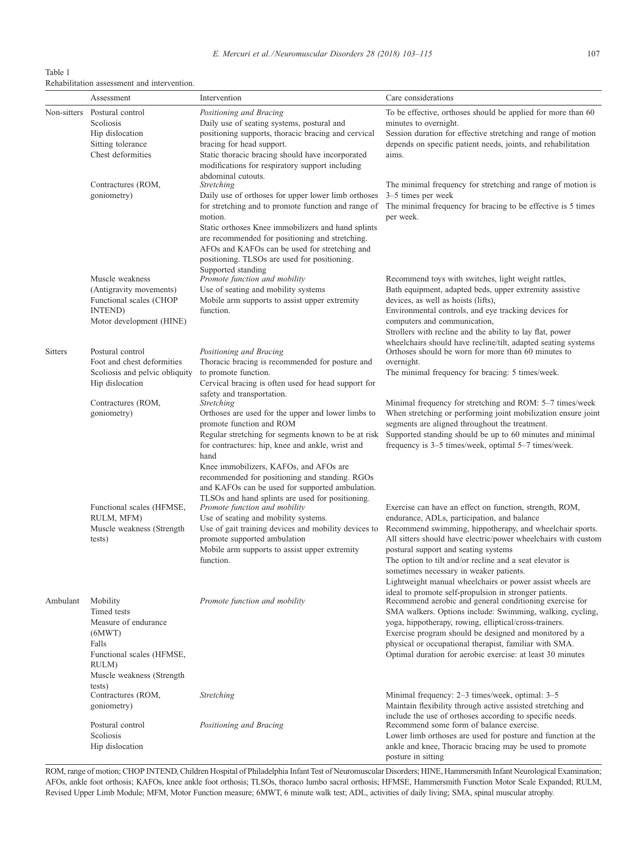<span id="page-4-0"></span>

| Table 1 |                                             |  |
|---------|---------------------------------------------|--|
|         | Rehabilitation assessment and intervention. |  |

|                | Assessment                                                                                                                                      | Intervention                                                                                                                                                                                                                                                                                                                                                                                                              | Care considerations                                                                                                                                                                                                                                                                                                                                                                                                                                                                                        |  |
|----------------|-------------------------------------------------------------------------------------------------------------------------------------------------|---------------------------------------------------------------------------------------------------------------------------------------------------------------------------------------------------------------------------------------------------------------------------------------------------------------------------------------------------------------------------------------------------------------------------|------------------------------------------------------------------------------------------------------------------------------------------------------------------------------------------------------------------------------------------------------------------------------------------------------------------------------------------------------------------------------------------------------------------------------------------------------------------------------------------------------------|--|
|                | Non-sitters Postural control<br>Scoliosis<br>Hip dislocation<br>Sitting tolerance<br>Chest deformities                                          | Positioning and Bracing<br>Daily use of seating systems, postural and<br>positioning supports, thoracic bracing and cervical<br>bracing for head support.<br>Static thoracic bracing should have incorporated<br>modifications for respiratory support including<br>abdominal cutouts.                                                                                                                                    | To be effective, orthoses should be applied for more than 60<br>minutes to overnight.<br>Session duration for effective stretching and range of motion<br>depends on specific patient needs, joints, and rehabilitation<br>aims.                                                                                                                                                                                                                                                                           |  |
|                | Contractures (ROM,<br>goniometry)                                                                                                               | <b>Stretching</b><br>Daily use of orthoses for upper lower limb orthoses<br>for stretching and to promote function and range of<br>motion.<br>Static orthoses Knee immobilizers and hand splints<br>are recommended for positioning and stretching.<br>AFOs and KAFOs can be used for stretching and<br>positioning. TLSOs are used for positioning.<br>Supported standing                                                | The minimal frequency for stretching and range of motion is<br>3–5 times per week<br>The minimal frequency for bracing to be effective is 5 times<br>per week.                                                                                                                                                                                                                                                                                                                                             |  |
|                | Muscle weakness<br>(Antigravity movements)<br>Functional scales (CHOP<br>INTEND)<br>Motor development (HINE)                                    | Promote function and mobility<br>Use of seating and mobility systems<br>Mobile arm supports to assist upper extremity<br>function.                                                                                                                                                                                                                                                                                        | Recommend toys with switches, light weight rattles,<br>Bath equipment, adapted beds, upper extremity assistive<br>devices, as well as hoists (lifts),<br>Environmental controls, and eye tracking devices for<br>computers and communication,<br>Strollers with recline and the ability to lay flat, power<br>wheelchairs should have recline/tilt, adapted seating systems                                                                                                                                |  |
| <b>Sitters</b> | Postural control<br>Foot and chest deformities<br>Scoliosis and pelvic obliquity<br>Hip dislocation                                             | Positioning and Bracing<br>Thoracic bracing is recommended for posture and<br>to promote function.<br>Cervical bracing is often used for head support for<br>safety and transportation.                                                                                                                                                                                                                                   | Orthoses should be worn for more than 60 minutes to<br>overnight.<br>The minimal frequency for bracing: 5 times/week.                                                                                                                                                                                                                                                                                                                                                                                      |  |
|                | Contractures (ROM,<br>goniometry)                                                                                                               | <b>Stretching</b><br>Orthoses are used for the upper and lower limbs to<br>promote function and ROM<br>Regular stretching for segments known to be at risk<br>for contractures: hip, knee and ankle, wrist and<br>hand<br>Knee immobilizers, KAFOs, and AFOs are<br>recommended for positioning and standing. RGOs<br>and KAFOs can be used for supported ambulation.<br>TLSOs and hand splints are used for positioning. | Minimal frequency for stretching and ROM: 5–7 times/week<br>When stretching or performing joint mobilization ensure joint<br>segments are aligned throughout the treatment.<br>Supported standing should be up to 60 minutes and minimal<br>frequency is 3–5 times/week, optimal 5–7 times/week.                                                                                                                                                                                                           |  |
|                | Functional scales (HFMSE,<br>RULM, MFM)<br>Muscle weakness (Strength<br>tests)                                                                  | Promote function and mobility<br>Use of seating and mobility systems.<br>Use of gait training devices and mobility devices to<br>promote supported ambulation<br>Mobile arm supports to assist upper extremity<br>function.                                                                                                                                                                                               | Exercise can have an effect on function, strength, ROM,<br>endurance, ADLs, participation, and balance<br>Recommend swimming, hippotherapy, and wheelchair sports.<br>All sitters should have electric/power wheelchairs with custom<br>postural support and seating systems<br>The option to tilt and/or recline and a seat elevator is<br>sometimes necessary in weaker patients.<br>Lightweight manual wheelchairs or power assist wheels are<br>ideal to promote self-propulsion in stronger patients. |  |
| Ambulant       | Mobility<br>Timed tests<br>Measure of endurance<br>(6MWT)<br>Falls<br>Functional scales (HFMSE,<br>RULM)<br>Muscle weakness (Strength<br>tests) | Promote function and mobility                                                                                                                                                                                                                                                                                                                                                                                             | Recommend aerobic and general conditioning exercise for<br>SMA walkers. Options include: Swimming, walking, cycling,<br>yoga, hippotherapy, rowing, elliptical/cross-trainers.<br>Exercise program should be designed and monitored by a<br>physical or occupational therapist, familiar with SMA.<br>Optimal duration for aerobic exercise: at least 30 minutes                                                                                                                                           |  |
|                | Contractures (ROM,<br>goniometry)                                                                                                               | <b>Stretching</b>                                                                                                                                                                                                                                                                                                                                                                                                         | Minimal frequency: 2–3 times/week, optimal: 3–5<br>Maintain flexibility through active assisted stretching and<br>include the use of orthoses according to specific needs.                                                                                                                                                                                                                                                                                                                                 |  |
|                | Postural control<br>Scoliosis<br>Hip dislocation                                                                                                | Positioning and Bracing                                                                                                                                                                                                                                                                                                                                                                                                   | Recommend some form of balance exercise.<br>Lower limb orthoses are used for posture and function at the<br>ankle and knee, Thoracic bracing may be used to promote<br>posture in sitting                                                                                                                                                                                                                                                                                                                  |  |

ROM, range of motion; CHOP INTEND, Children Hospital of Philadelphia Infant Test of Neuromuscular Disorders; HINE, Hammersmith Infant Neurological Examination; AFOs, ankle foot orthosis; KAFOs, knee ankle foot orthosis; TLSOs, thoraco lumbo sacral orthosis; HFMSE, Hammersmith Function Motor Scale Expanded; RULM, Revised Upper Limb Module; MFM, Motor Function measure; 6MWT, 6 minute walk test; ADL, activities of daily living; SMA, spinal muscular atrophy.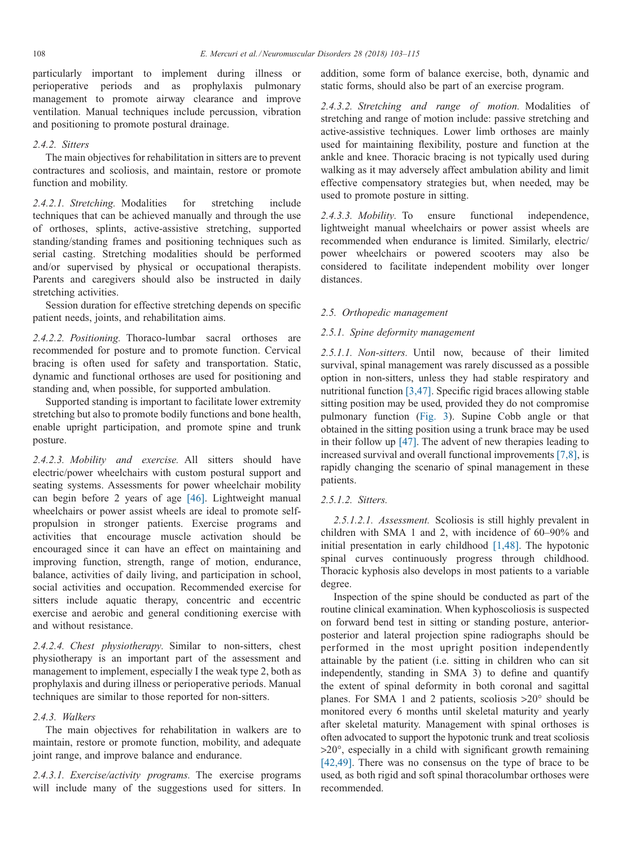particularly important to implement during illness or perioperative periods and as prophylaxis pulmonary management to promote airway clearance and improve ventilation. Manual techniques include percussion, vibration and positioning to promote postural drainage.

## *2.4.2. Sitters*

The main objectives for rehabilitation in sitters are to prevent contractures and scoliosis, and maintain, restore or promote function and mobility.

*2.4.2.1. Stretching.* Modalities for stretching include techniques that can be achieved manually and through the use of orthoses, splints, active-assistive stretching, supported standing/standing frames and positioning techniques such as serial casting. Stretching modalities should be performed and/or supervised by physical or occupational therapists. Parents and caregivers should also be instructed in daily stretching activities.

Session duration for effective stretching depends on specific patient needs, joints, and rehabilitation aims.

*2.4.2.2. Positioning.* Thoraco-lumbar sacral orthoses are recommended for posture and to promote function. Cervical bracing is often used for safety and transportation. Static, dynamic and functional orthoses are used for positioning and standing and, when possible, for supported ambulation.

Supported standing is important to facilitate lower extremity stretching but also to promote bodily functions and bone health, enable upright participation, and promote spine and trunk posture.

*2.4.2.3. Mobility and exercise.* All sitters should have electric/power wheelchairs with custom postural support and seating systems. Assessments for power wheelchair mobility can begin before 2 years of age [\[46\].](#page-11-0) Lightweight manual wheelchairs or power assist wheels are ideal to promote selfpropulsion in stronger patients. Exercise programs and activities that encourage muscle activation should be encouraged since it can have an effect on maintaining and improving function, strength, range of motion, endurance, balance, activities of daily living, and participation in school, social activities and occupation. Recommended exercise for sitters include aquatic therapy, concentric and eccentric exercise and aerobic and general conditioning exercise with and without resistance.

*2.4.2.4. Chest physiotherapy.* Similar to non-sitters, chest physiotherapy is an important part of the assessment and management to implement, especially I the weak type 2, both as prophylaxis and during illness or perioperative periods. Manual techniques are similar to those reported for non-sitters.

## *2.4.3. Walkers*

The main objectives for rehabilitation in walkers are to maintain, restore or promote function, mobility, and adequate joint range, and improve balance and endurance.

*2.4.3.1. Exercise/activity programs.* The exercise programs will include many of the suggestions used for sitters. In addition, some form of balance exercise, both, dynamic and static forms, should also be part of an exercise program.

*2.4.3.2. Stretching and range of motion.* Modalities of stretching and range of motion include: passive stretching and active-assistive techniques. Lower limb orthoses are mainly used for maintaining flexibility, posture and function at the ankle and knee. Thoracic bracing is not typically used during walking as it may adversely affect ambulation ability and limit effective compensatory strategies but, when needed, may be used to promote posture in sitting.

*2.4.3.3. Mobility.* To ensure functional independence, lightweight manual wheelchairs or power assist wheels are recommended when endurance is limited. Similarly, electric/ power wheelchairs or powered scooters may also be considered to facilitate independent mobility over longer distances.

## *2.5. Orthopedic management*

## *2.5.1. Spine deformity management*

*2.5.1.1. Non-sitters.* Until now, because of their limited survival, spinal management was rarely discussed as a possible option in non-sitters, unless they had stable respiratory and nutritional function [\[3,47\].](#page-9-2) Specific rigid braces allowing stable sitting position may be used, provided they do not compromise pulmonary function [\(Fig. 3\)](#page-6-0). Supine Cobb angle or that obtained in the sitting position using a trunk brace may be used in their follow up [\[47\].](#page-11-1) The advent of new therapies leading to increased survival and overall functional improvements [\[7,8\],](#page-9-5) is rapidly changing the scenario of spinal management in these patients.

## *2.5.1.2. Sitters.*

*2.5.1.2.1. Assessment.* Scoliosis is still highly prevalent in children with SMA 1 and 2, with incidence of 60–90% and initial presentation in early childhood [\[1,48\].](#page-9-0) The hypotonic spinal curves continuously progress through childhood. Thoracic kyphosis also develops in most patients to a variable degree.

Inspection of the spine should be conducted as part of the routine clinical examination. When kyphoscoliosis is suspected on forward bend test in sitting or standing posture, anteriorposterior and lateral projection spine radiographs should be performed in the most upright position independently attainable by the patient (i.e. sitting in children who can sit independently, standing in SMA 3) to define and quantify the extent of spinal deformity in both coronal and sagittal planes. For SMA 1 and 2 patients, scoliosis >20° should be monitored every 6 months until skeletal maturity and yearly after skeletal maturity. Management with spinal orthoses is often advocated to support the hypotonic trunk and treat scoliosis >20°, especially in a child with significant growth remaining [\[42,49\].](#page-10-13) There was no consensus on the type of brace to be used, as both rigid and soft spinal thoracolumbar orthoses were recommended.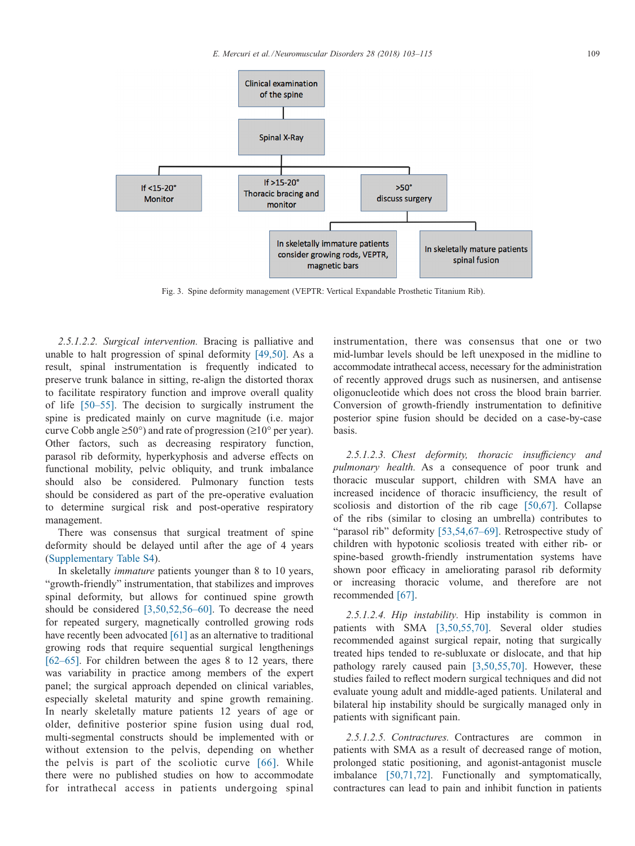<span id="page-6-0"></span>

Fig. 3. Spine deformity management (VEPTR: Vertical Expandable Prosthetic Titanium Rib).

*2.5.1.2.2. Surgical intervention.* Bracing is palliative and unable to halt progression of spinal deformity [\[49,50\].](#page-11-2) As a result, spinal instrumentation is frequently indicated to preserve trunk balance in sitting, re-align the distorted thorax to facilitate respiratory function and improve overall quality of life [\[50–55\].](#page-11-3) The decision to surgically instrument the spine is predicated mainly on curve magnitude (i.e. major curve Cobb angle  $\geq 50^{\circ}$ ) and rate of progression ( $\geq 10^{\circ}$  per year). Other factors, such as decreasing respiratory function, parasol rib deformity, hyperkyphosis and adverse effects on functional mobility, pelvic obliquity, and trunk imbalance should also be considered. Pulmonary function tests should be considered as part of the pre-operative evaluation to determine surgical risk and post-operative respiratory management.

There was consensus that surgical treatment of spine deformity should be delayed until after the age of 4 years (Supplementary Table S4).

In skeletally *immature* patients younger than 8 to 10 years, "growth-friendly" instrumentation, that stabilizes and improves spinal deformity, but allows for continued spine growth should be considered [\[3,50,52,56–60\].](#page-9-2) To decrease the need for repeated surgery, magnetically controlled growing rods have recently been advocated [\[61\]](#page-11-4) as an alternative to traditional growing rods that require sequential surgical lengthenings [\[62–65\].](#page-11-5) For children between the ages 8 to 12 years, there was variability in practice among members of the expert panel; the surgical approach depended on clinical variables, especially skeletal maturity and spine growth remaining. In nearly skeletally mature patients 12 years of age or older, definitive posterior spine fusion using dual rod, multi-segmental constructs should be implemented with or without extension to the pelvis, depending on whether the pelvis is part of the scoliotic curve [\[66\].](#page-11-6) While there were no published studies on how to accommodate for intrathecal access in patients undergoing spinal

instrumentation, there was consensus that one or two mid-lumbar levels should be left unexposed in the midline to accommodate intrathecal access, necessary for the administration of recently approved drugs such as nusinersen, and antisense oligonucleotide which does not cross the blood brain barrier. Conversion of growth-friendly instrumentation to definitive posterior spine fusion should be decided on a case-by-case basis.

*2.5.1.2.3. Chest deformity, thoracic insufficiency and pulmonary health.* As a consequence of poor trunk and thoracic muscular support, children with SMA have an increased incidence of thoracic insufficiency, the result of scoliosis and distortion of the rib cage [\[50,67\].](#page-11-3) Collapse of the ribs (similar to closing an umbrella) contributes to "parasol rib" deformity [\[53,54,67–69\].](#page-11-7) Retrospective study of children with hypotonic scoliosis treated with either rib- or spine-based growth-friendly instrumentation systems have shown poor efficacy in ameliorating parasol rib deformity or increasing thoracic volume, and therefore are not recommended [\[67\].](#page-11-8)

*2.5.1.2.4. Hip instability.* Hip instability is common in patients with SMA [\[3,50,55,70\].](#page-9-2) Several older studies recommended against surgical repair, noting that surgically treated hips tended to re-subluxate or dislocate, and that hip pathology rarely caused pain [\[3,50,55,70\].](#page-9-2) However, these studies failed to reflect modern surgical techniques and did not evaluate young adult and middle-aged patients. Unilateral and bilateral hip instability should be surgically managed only in patients with significant pain.

*2.5.1.2.5. Contractures.* Contractures are common in patients with SMA as a result of decreased range of motion, prolonged static positioning, and agonist-antagonist muscle imbalance [\[50,71,72\].](#page-11-3) Functionally and symptomatically, contractures can lead to pain and inhibit function in patients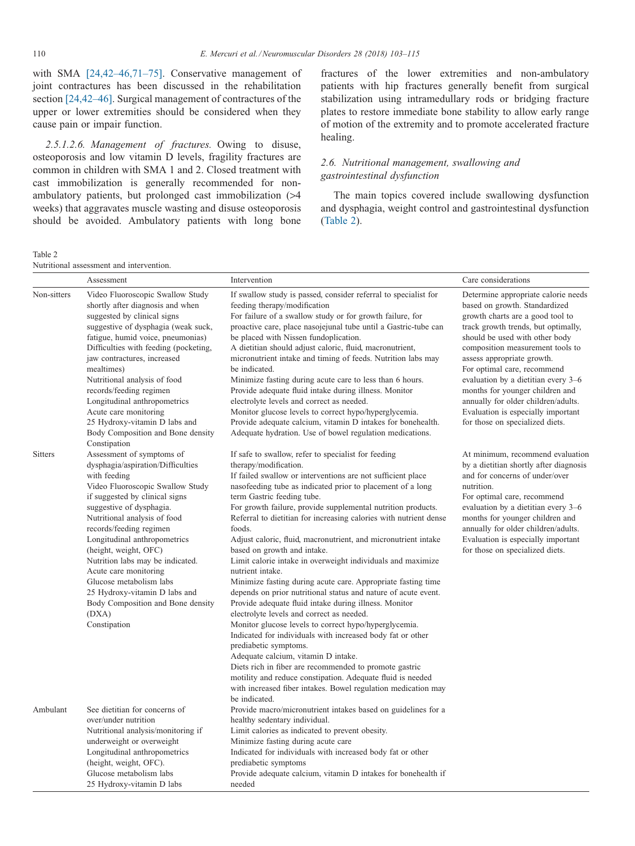with SMA [24,42-46,71-75]. Conservative management of joint contractures has been discussed in the rehabilitation section [\[24,42–46\].](#page-10-8) Surgical management of contractures of the upper or lower extremities should be considered when they cause pain or impair function.

*2.5.1.2.6. Management of fractures.* Owing to disuse, osteoporosis and low vitamin D levels, fragility fractures are common in children with SMA 1 and 2. Closed treatment with cast immobilization is generally recommended for nonambulatory patients, but prolonged cast immobilization (>4 weeks) that aggravates muscle wasting and disuse osteoporosis should be avoided. Ambulatory patients with long bone

fractures of the lower extremities and non-ambulatory patients with hip fractures generally benefit from surgical stabilization using intramedullary rods or bridging fracture plates to restore immediate bone stability to allow early range of motion of the extremity and to promote accelerated fracture healing.

## *2.6. Nutritional management, swallowing and gastrointestinal dysfunction*

The main topics covered include swallowing dysfunction and dysphagia, weight control and gastrointestinal dysfunction (Table 2).

| . . | ۰.<br>×<br>۰. |  |
|-----|---------------|--|

| Nutritional assessment and intervention. |
|------------------------------------------|
|------------------------------------------|

|                | Assessment                                                                                                                                                                                                                                                                                                                                                                                                                                                                                                  | Intervention                                                                                                                                                                                                                                                                                                                                                                                                                                                                                                                                                                                                                                                                                                                                                                                                                                                                                                                                                                                                                                                                                                                                                                                                        | Care considerations                                                                                                                                                                                                                                                                                                                                                                                                                                                          |
|----------------|-------------------------------------------------------------------------------------------------------------------------------------------------------------------------------------------------------------------------------------------------------------------------------------------------------------------------------------------------------------------------------------------------------------------------------------------------------------------------------------------------------------|---------------------------------------------------------------------------------------------------------------------------------------------------------------------------------------------------------------------------------------------------------------------------------------------------------------------------------------------------------------------------------------------------------------------------------------------------------------------------------------------------------------------------------------------------------------------------------------------------------------------------------------------------------------------------------------------------------------------------------------------------------------------------------------------------------------------------------------------------------------------------------------------------------------------------------------------------------------------------------------------------------------------------------------------------------------------------------------------------------------------------------------------------------------------------------------------------------------------|------------------------------------------------------------------------------------------------------------------------------------------------------------------------------------------------------------------------------------------------------------------------------------------------------------------------------------------------------------------------------------------------------------------------------------------------------------------------------|
| Non-sitters    | Video Fluoroscopic Swallow Study<br>shortly after diagnosis and when<br>suggested by clinical signs<br>suggestive of dysphagia (weak suck,<br>fatigue, humid voice, pneumonias)<br>Difficulties with feeding (pocketing,<br>jaw contractures, increased<br>mealtimes)<br>Nutritional analysis of food<br>records/feeding regimen<br>Longitudinal anthropometrics<br>Acute care monitoring<br>25 Hydroxy-vitamin D labs and<br>Body Composition and Bone density                                             | If swallow study is passed, consider referral to specialist for<br>feeding therapy/modification<br>For failure of a swallow study or for growth failure, for<br>proactive care, place nasojejunal tube until a Gastric-tube can<br>be placed with Nissen fundoplication.<br>A dietitian should adjust caloric, fluid, macronutrient,<br>micronutrient intake and timing of feeds. Nutrition labs may<br>be indicated.<br>Minimize fasting during acute care to less than 6 hours.<br>Provide adequate fluid intake during illness. Monitor<br>electrolyte levels and correct as needed.<br>Monitor glucose levels to correct hypo/hyperglycemia.<br>Provide adequate calcium, vitamin D intakes for bonehealth.<br>Adequate hydration. Use of bowel regulation medications.                                                                                                                                                                                                                                                                                                                                                                                                                                         | Determine appropriate calorie needs<br>based on growth. Standardized<br>growth charts are a good tool to<br>track growth trends, but optimally,<br>should be used with other body<br>composition measurement tools to<br>assess appropriate growth.<br>For optimal care, recommend<br>evaluation by a dietitian every 3–6<br>months for younger children and<br>annually for older children/adults.<br>Evaluation is especially important<br>for those on specialized diets. |
| <b>Sitters</b> | Constipation<br>Assessment of symptoms of<br>dysphagia/aspiration/Difficulties<br>with feeding<br>Video Fluoroscopic Swallow Study<br>if suggested by clinical signs<br>suggestive of dysphagia.<br>Nutritional analysis of food<br>records/feeding regimen<br>Longitudinal anthropometrics<br>(height, weight, OFC)<br>Nutrition labs may be indicated.<br>Acute care monitoring<br>Glucose metabolism labs<br>25 Hydroxy-vitamin D labs and<br>Body Composition and Bone density<br>(DXA)<br>Constipation | If safe to swallow, refer to specialist for feeding<br>therapy/modification.<br>If failed swallow or interventions are not sufficient place<br>nasofeeding tube as indicated prior to placement of a long<br>term Gastric feeding tube.<br>For growth failure, provide supplemental nutrition products.<br>Referral to dietitian for increasing calories with nutrient dense<br>foods.<br>Adjust caloric, fluid, macronutrient, and micronutrient intake<br>based on growth and intake.<br>Limit calorie intake in overweight individuals and maximize<br>nutrient intake.<br>Minimize fasting during acute care. Appropriate fasting time<br>depends on prior nutritional status and nature of acute event.<br>Provide adequate fluid intake during illness. Monitor<br>electrolyte levels and correct as needed.<br>Monitor glucose levels to correct hypo/hyperglycemia.<br>Indicated for individuals with increased body fat or other<br>prediabetic symptoms.<br>Adequate calcium, vitamin D intake.<br>Diets rich in fiber are recommended to promote gastric<br>motility and reduce constipation. Adequate fluid is needed<br>with increased fiber intakes. Bowel regulation medication may<br>be indicated. | At minimum, recommend evaluation<br>by a dietitian shortly after diagnosis<br>and for concerns of under/over<br>nutrition.<br>For optimal care, recommend<br>evaluation by a dietitian every 3–6<br>months for younger children and<br>annually for older children/adults.<br>Evaluation is especially important<br>for those on specialized diets.                                                                                                                          |
| Ambulant       | See dietitian for concerns of<br>over/under nutrition<br>Nutritional analysis/monitoring if<br>underweight or overweight<br>Longitudinal anthropometrics<br>(height, weight, OFC).<br>Glucose metabolism labs<br>25 Hydroxy-vitamin D labs                                                                                                                                                                                                                                                                  | Provide macro/micronutrient intakes based on guidelines for a<br>healthy sedentary individual.<br>Limit calories as indicated to prevent obesity.<br>Minimize fasting during acute care<br>Indicated for individuals with increased body fat or other<br>prediabetic symptoms<br>Provide adequate calcium, vitamin D intakes for bonehealth if<br>needed                                                                                                                                                                                                                                                                                                                                                                                                                                                                                                                                                                                                                                                                                                                                                                                                                                                            |                                                                                                                                                                                                                                                                                                                                                                                                                                                                              |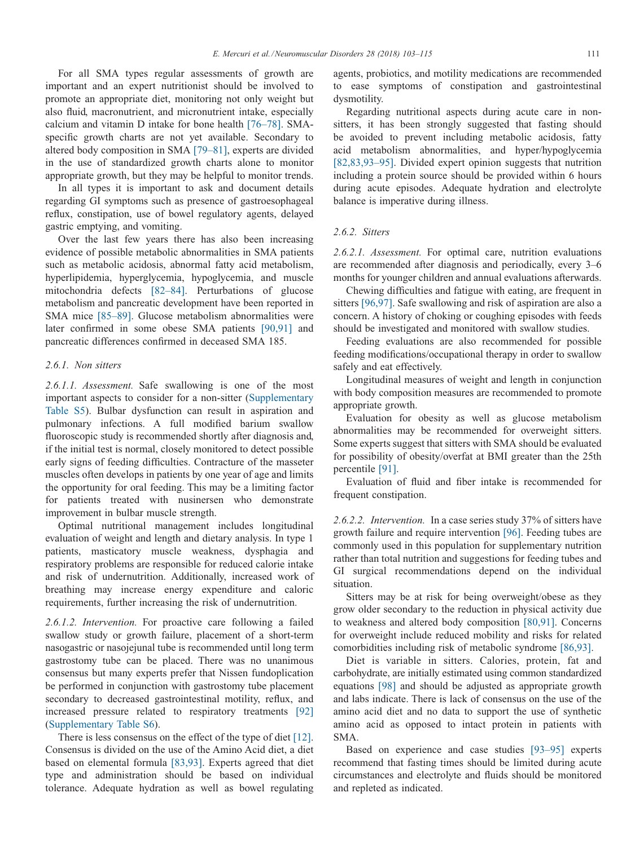For all SMA types regular assessments of growth are important and an expert nutritionist should be involved to promote an appropriate diet, monitoring not only weight but also fluid, macronutrient, and micronutrient intake, especially calcium and vitamin D intake for bone health [\[76–78\].](#page-11-9) SMAspecific growth charts are not yet available. Secondary to altered body composition in SMA [\[79–81\],](#page-11-10) experts are divided in the use of standardized growth charts alone to monitor appropriate growth, but they may be helpful to monitor trends.

In all types it is important to ask and document details regarding GI symptoms such as presence of gastroesophageal reflux, constipation, use of bowel regulatory agents, delayed gastric emptying, and vomiting.

Over the last few years there has also been increasing evidence of possible metabolic abnormalities in SMA patients such as metabolic acidosis, abnormal fatty acid metabolism, hyperlipidemia, hyperglycemia, hypoglycemia, and muscle mitochondria defects [\[82–84\].](#page-11-11) Perturbations of glucose metabolism and pancreatic development have been reported in SMA mice [\[85–89\].](#page-11-12) Glucose metabolism abnormalities were later confirmed in some obese SMA patients [\[90,91\]](#page-12-0) and pancreatic differences confirmed in deceased SMA 185.

#### *2.6.1. Non sitters*

*2.6.1.1. Assessment.* Safe swallowing is one of the most important aspects to consider for a non-sitter (Supplementary Table S5). Bulbar dysfunction can result in aspiration and pulmonary infections. A full modified barium swallow fluoroscopic study is recommended shortly after diagnosis and, if the initial test is normal, closely monitored to detect possible early signs of feeding difficulties. Contracture of the masseter muscles often develops in patients by one year of age and limits the opportunity for oral feeding. This may be a limiting factor for patients treated with nusinersen who demonstrate improvement in bulbar muscle strength.

Optimal nutritional management includes longitudinal evaluation of weight and length and dietary analysis. In type 1 patients, masticatory muscle weakness, dysphagia and respiratory problems are responsible for reduced calorie intake and risk of undernutrition. Additionally, increased work of breathing may increase energy expenditure and caloric requirements, further increasing the risk of undernutrition.

*2.6.1.2. Intervention.* For proactive care following a failed swallow study or growth failure, placement of a short-term nasogastric or nasojejunal tube is recommended until long term gastrostomy tube can be placed. There was no unanimous consensus but many experts prefer that Nissen fundoplication be performed in conjunction with gastrostomy tube placement secondary to decreased gastrointestinal motility, reflux, and increased pressure related to respiratory treatments [\[92\]](#page-12-1) (Supplementary Table S6).

There is less consensus on the effect of the type of diet [\[12\].](#page-10-1) Consensus is divided on the use of the Amino Acid diet, a diet based on elemental formula [\[83,93\].](#page-11-13) Experts agreed that diet type and administration should be based on individual tolerance. Adequate hydration as well as bowel regulating

agents, probiotics, and motility medications are recommended to ease symptoms of constipation and gastrointestinal dysmotility.

Regarding nutritional aspects during acute care in nonsitters, it has been strongly suggested that fasting should be avoided to prevent including metabolic acidosis, fatty acid metabolism abnormalities, and hyper/hypoglycemia [\[82,83,93–95\].](#page-11-11) Divided expert opinion suggests that nutrition including a protein source should be provided within 6 hours during acute episodes. Adequate hydration and electrolyte balance is imperative during illness.

## *2.6.2. Sitters*

*2.6.2.1. Assessment.* For optimal care, nutrition evaluations are recommended after diagnosis and periodically, every 3–6 months for younger children and annual evaluations afterwards.

Chewing difficulties and fatigue with eating, are frequent in sitters [\[96,97\].](#page-12-2) Safe swallowing and risk of aspiration are also a concern. A history of choking or coughing episodes with feeds should be investigated and monitored with swallow studies.

Feeding evaluations are also recommended for possible feeding modifications/occupational therapy in order to swallow safely and eat effectively.

Longitudinal measures of weight and length in conjunction with body composition measures are recommended to promote appropriate growth.

Evaluation for obesity as well as glucose metabolism abnormalities may be recommended for overweight sitters. Some experts suggest that sitters with SMA should be evaluated for possibility of obesity/overfat at BMI greater than the 25th percentile [\[91\].](#page-12-3)

Evaluation of fluid and fiber intake is recommended for frequent constipation.

*2.6.2.2. Intervention.* In a case series study 37% of sitters have growth failure and require intervention [\[96\].](#page-12-2) Feeding tubes are commonly used in this population for supplementary nutrition rather than total nutrition and suggestions for feeding tubes and GI surgical recommendations depend on the individual situation.

Sitters may be at risk for being overweight/obese as they grow older secondary to the reduction in physical activity due to weakness and altered body composition [\[80,91\].](#page-11-14) Concerns for overweight include reduced mobility and risks for related comorbidities including risk of metabolic syndrome [\[86,93\].](#page-11-15)

Diet is variable in sitters. Calories, protein, fat and carbohydrate, are initially estimated using common standardized equations [\[98\]](#page-12-4) and should be adjusted as appropriate growth and labs indicate. There is lack of consensus on the use of the amino acid diet and no data to support the use of synthetic amino acid as opposed to intact protein in patients with SMA.

Based on experience and case studies [\[93–95\]](#page-12-5) experts recommend that fasting times should be limited during acute circumstances and electrolyte and fluids should be monitored and repleted as indicated.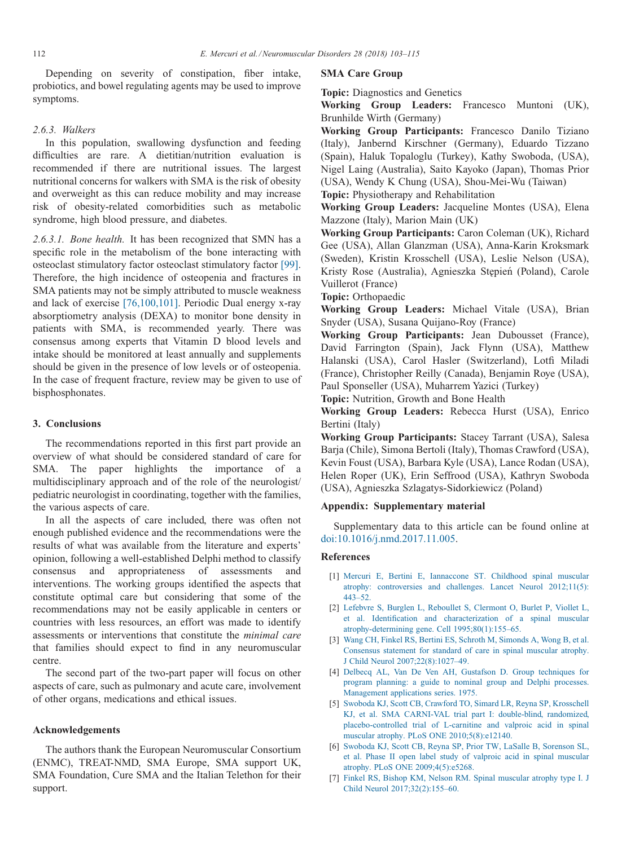Depending on severity of constipation, fiber intake, probiotics, and bowel regulating agents may be used to improve symptoms.

#### *2.6.3. Walkers*

In this population, swallowing dysfunction and feeding difficulties are rare. A dietitian/nutrition evaluation is recommended if there are nutritional issues. The largest nutritional concerns for walkers with SMA is the risk of obesity and overweight as this can reduce mobility and may increase risk of obesity-related comorbidities such as metabolic syndrome, high blood pressure, and diabetes.

*2.6.3.1. Bone health.* It has been recognized that SMN has a specific role in the metabolism of the bone interacting with osteoclast stimulatory factor osteoclast stimulatory factor [\[99\].](#page-12-6) Therefore, the high incidence of osteopenia and fractures in SMA patients may not be simply attributed to muscle weakness and lack of exercise [\[76,100,101\].](#page-11-9) Periodic Dual energy x-ray absorptiometry analysis (DEXA) to monitor bone density in patients with SMA, is recommended yearly. There was consensus among experts that Vitamin D blood levels and intake should be monitored at least annually and supplements should be given in the presence of low levels or of osteopenia. In the case of frequent fracture, review may be given to use of bisphosphonates.

#### **3. Conclusions**

The recommendations reported in this first part provide an overview of what should be considered standard of care for SMA. The paper highlights the importance of a multidisciplinary approach and of the role of the neurologist/ pediatric neurologist in coordinating, together with the families, the various aspects of care.

In all the aspects of care included, there was often not enough published evidence and the recommendations were the results of what was available from the literature and experts' opinion, following a well-established Delphi method to classify consensus and appropriateness of assessments and interventions. The working groups identified the aspects that constitute optimal care but considering that some of the recommendations may not be easily applicable in centers or countries with less resources, an effort was made to identify assessments or interventions that constitute the *minimal care* that families should expect to find in any neuromuscular centre.

The second part of the two-part paper will focus on other aspects of care, such as pulmonary and acute care, involvement of other organs, medications and ethical issues.

#### **Acknowledgements**

The authors thank the European Neuromuscular Consortium (ENMC), TREAT-NMD, SMA Europe, SMA support UK, SMA Foundation, Cure SMA and the Italian Telethon for their support.

#### **SMA Care Group**

**Topic:** Diagnostics and Genetics

**Working Group Leaders:** Francesco Muntoni (UK), Brunhilde Wirth (Germany)

**Working Group Participants:** Francesco Danilo Tiziano (Italy), Janbernd Kirschner (Germany), Eduardo Tizzano (Spain), Haluk Topaloglu (Turkey), Kathy Swoboda, (USA), Nigel Laing (Australia), Saito Kayoko (Japan), Thomas Prior (USA), Wendy K Chung (USA), Shou-Mei-Wu (Taiwan)

**Topic:** Physiotherapy and Rehabilitation

**Working Group Leaders:** Jacqueline Montes (USA), Elena Mazzone (Italy), Marion Main (UK)

**Working Group Participants:** Caron Coleman (UK), Richard Gee (USA), Allan Glanzman (USA), Anna-Karin Kroksmark (Sweden), Kristin Krosschell (USA), Leslie Nelson (USA), Kristy Rose (Australia), Agnieszka Stępień (Poland), Carole Vuillerot (France)

## **Topic:** Orthopaedic

**Working Group Leaders:** Michael Vitale (USA), Brian Snyder (USA), Susana Quijano-Roy (France)

**Working Group Participants:** Jean Dubousset (France), David Farrington (Spain), Jack Flynn (USA), Matthew Halanski (USA), Carol Hasler (Switzerland), Lotfi Miladi (France), Christopher Reilly (Canada), Benjamin Roye (USA), Paul Sponseller (USA), Muharrem Yazici (Turkey)

**Topic:** Nutrition, Growth and Bone Health

**Working Group Leaders:** Rebecca Hurst (USA), Enrico Bertini (Italy)

**Working Group Participants:** Stacey Tarrant (USA), Salesa Barja (Chile), Simona Bertoli (Italy), Thomas Crawford (USA), Kevin Foust (USA), Barbara Kyle (USA), Lance Rodan (USA), Helen Roper (UK), Erin Seffrood (USA), Kathryn Swoboda (USA), Agnieszka Szlagatys-Sidorkiewicz (Poland)

## **Appendix: Supplementary material**

Supplementary data to this article can be found online at [doi:10.1016/j.nmd.2017.11.005.](https://doi.org/10.1016/j.nmd.2017.11.005)

#### **References**

- <span id="page-9-0"></span>[1] [Mercuri E, Bertini E, Iannaccone ST. Childhood spinal muscular](http://refhub.elsevier.com/S0960-8966(17)31284-1/sr0010) [atrophy: controversies and challenges. Lancet Neurol 2012;11\(5\):](http://refhub.elsevier.com/S0960-8966(17)31284-1/sr0010) [443–52.](http://refhub.elsevier.com/S0960-8966(17)31284-1/sr0010)
- <span id="page-9-1"></span>[2] [Lefebvre S, Burglen L, Reboullet S, Clermont O, Burlet P, Viollet L,](http://refhub.elsevier.com/S0960-8966(17)31284-1/sr0015) [et al. Identification and characterization of a spinal muscular](http://refhub.elsevier.com/S0960-8966(17)31284-1/sr0015) [atrophy-determining gene. Cell 1995;80\(1\):155–65.](http://refhub.elsevier.com/S0960-8966(17)31284-1/sr0015)
- <span id="page-9-2"></span>[3] [Wang CH, Finkel RS, Bertini ES, Schroth M, Simonds A, Wong B, et al.](http://refhub.elsevier.com/S0960-8966(17)31284-1/sr0020) [Consensus statement for standard of care in spinal muscular atrophy.](http://refhub.elsevier.com/S0960-8966(17)31284-1/sr0020) [J Child Neurol 2007;22\(8\):1027–49.](http://refhub.elsevier.com/S0960-8966(17)31284-1/sr0020)
- <span id="page-9-3"></span>[4] [Delbecq AL, Van De Ven AH, Gustafson D. Group techniques for](http://refhub.elsevier.com/S0960-8966(17)31284-1/sr0025) [program planning: a guide to nominal group and Delphi processes.](http://refhub.elsevier.com/S0960-8966(17)31284-1/sr0025) [Management applications series. 1975.](http://refhub.elsevier.com/S0960-8966(17)31284-1/sr0025)
- <span id="page-9-4"></span>[5] [Swoboda KJ, Scott CB, Crawford TO, Simard LR, Reyna SP, Krosschell](http://refhub.elsevier.com/S0960-8966(17)31284-1/sr0030) [KJ, et al. SMA CARNI-VAL trial part I: double-blind, randomized,](http://refhub.elsevier.com/S0960-8966(17)31284-1/sr0030) [placebo-controlled trial of L-carnitine and valproic acid in spinal](http://refhub.elsevier.com/S0960-8966(17)31284-1/sr0030) [muscular atrophy. PLoS ONE 2010;5\(8\):e12140.](http://refhub.elsevier.com/S0960-8966(17)31284-1/sr0030)
- [6] [Swoboda KJ, Scott CB, Reyna SP, Prior TW, LaSalle B, Sorenson SL,](http://refhub.elsevier.com/S0960-8966(17)31284-1/sr0035) [et al. Phase II open label study of valproic acid in spinal muscular](http://refhub.elsevier.com/S0960-8966(17)31284-1/sr0035) [atrophy. PLoS ONE 2009;4\(5\):e5268.](http://refhub.elsevier.com/S0960-8966(17)31284-1/sr0035)
- <span id="page-9-5"></span>[7] [Finkel RS, Bishop KM, Nelson RM. Spinal muscular atrophy type I. J](http://refhub.elsevier.com/S0960-8966(17)31284-1/sr0040) [Child Neurol 2017;32\(2\):155–60.](http://refhub.elsevier.com/S0960-8966(17)31284-1/sr0040)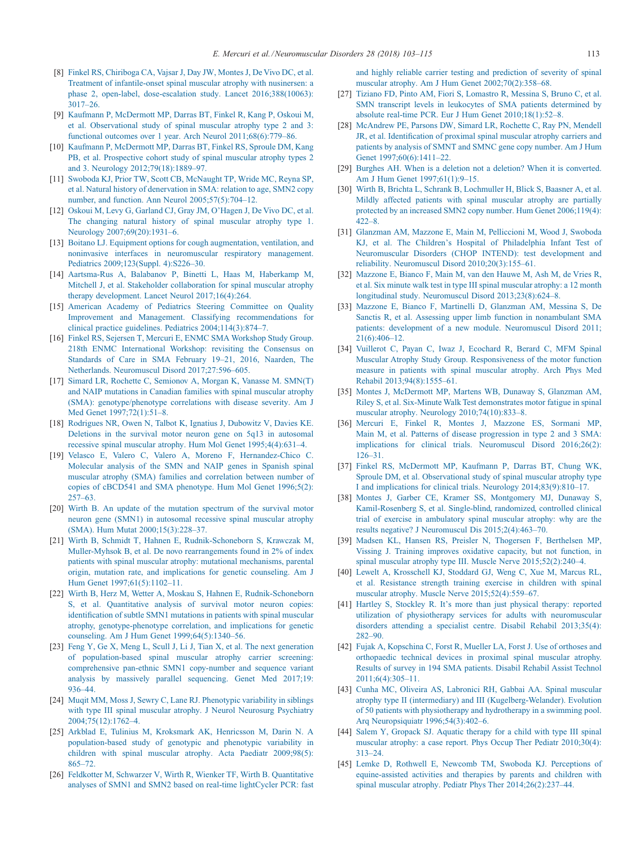- [8] [Finkel RS, Chiriboga CA, Vajsar J, Day JW, Montes J, De Vivo DC, et al.](http://refhub.elsevier.com/S0960-8966(17)31284-1/sr0045) [Treatment of infantile-onset spinal muscular atrophy with nusinersen: a](http://refhub.elsevier.com/S0960-8966(17)31284-1/sr0045) [phase 2, open-label, dose-escalation study. Lancet 2016;388\(10063\):](http://refhub.elsevier.com/S0960-8966(17)31284-1/sr0045) [3017–26.](http://refhub.elsevier.com/S0960-8966(17)31284-1/sr0045)
- <span id="page-10-0"></span>[9] [Kaufmann P, McDermott MP, Darras BT, Finkel R, Kang P, Oskoui M,](http://refhub.elsevier.com/S0960-8966(17)31284-1/sr0050) [et al. Observational study of spinal muscular atrophy type 2 and 3:](http://refhub.elsevier.com/S0960-8966(17)31284-1/sr0050) [functional outcomes over 1 year. Arch Neurol 2011;68\(6\):779–86.](http://refhub.elsevier.com/S0960-8966(17)31284-1/sr0050)
- [10] [Kaufmann P, McDermott MP, Darras BT, Finkel RS, Sproule DM, Kang](http://refhub.elsevier.com/S0960-8966(17)31284-1/sr0055) [PB, et al. Prospective cohort study of spinal muscular atrophy types 2](http://refhub.elsevier.com/S0960-8966(17)31284-1/sr0055) [and 3. Neurology 2012;79\(18\):1889–97.](http://refhub.elsevier.com/S0960-8966(17)31284-1/sr0055)
- [11] [Swoboda KJ, Prior TW, Scott CB, McNaught TP, Wride MC, Reyna SP,](http://refhub.elsevier.com/S0960-8966(17)31284-1/sr0060) [et al. Natural history of denervation in SMA: relation to age, SMN2 copy](http://refhub.elsevier.com/S0960-8966(17)31284-1/sr0060) [number, and function. Ann Neurol 2005;57\(5\):704–12.](http://refhub.elsevier.com/S0960-8966(17)31284-1/sr0060)
- <span id="page-10-1"></span>[12] [Oskoui M, Levy G, Garland CJ, Gray JM, O'Hagen J, De Vivo DC, et al.](http://refhub.elsevier.com/S0960-8966(17)31284-1/sr0065) [The changing natural history of spinal muscular atrophy type 1.](http://refhub.elsevier.com/S0960-8966(17)31284-1/sr0065) [Neurology 2007;69\(20\):1931–6.](http://refhub.elsevier.com/S0960-8966(17)31284-1/sr0065)
- [13] [Boitano LJ. Equipment options for cough augmentation, ventilation, and](http://refhub.elsevier.com/S0960-8966(17)31284-1/sr0070) [noninvasive interfaces in neuromuscular respiratory management.](http://refhub.elsevier.com/S0960-8966(17)31284-1/sr0070) [Pediatrics 2009;123\(Suppl. 4\):S226–30.](http://refhub.elsevier.com/S0960-8966(17)31284-1/sr0070)
- <span id="page-10-2"></span>[14] [Aartsma-Rus A, Balabanov P, Binetti L, Haas M, Haberkamp M,](http://refhub.elsevier.com/S0960-8966(17)31284-1/sr0075) [Mitchell J, et al. Stakeholder collaboration for spinal muscular atrophy](http://refhub.elsevier.com/S0960-8966(17)31284-1/sr0075) [therapy development. Lancet Neurol 2017;16\(4\):264.](http://refhub.elsevier.com/S0960-8966(17)31284-1/sr0075)
- <span id="page-10-3"></span>[15] [American Academy of Pediatrics Steering Committee on Quality](http://refhub.elsevier.com/S0960-8966(17)31284-1/sr0080) [Improvement and Management. Classifying recommendations for](http://refhub.elsevier.com/S0960-8966(17)31284-1/sr0080) [clinical practice guidelines. Pediatrics 2004;114\(3\):874–7.](http://refhub.elsevier.com/S0960-8966(17)31284-1/sr0080)
- <span id="page-10-4"></span>[16] [Finkel RS, Sejersen T, Mercuri E, ENMC SMA Workshop Study Group.](http://refhub.elsevier.com/S0960-8966(17)31284-1/sr0085) [218th ENMC International Workshop: revisiting the Consensus on](http://refhub.elsevier.com/S0960-8966(17)31284-1/sr0085) [Standards of Care in SMA February 19–21, 2016, Naarden, The](http://refhub.elsevier.com/S0960-8966(17)31284-1/sr0085) [Netherlands. Neuromuscul Disord 2017;27:596–605.](http://refhub.elsevier.com/S0960-8966(17)31284-1/sr0085)
- [17] [Simard LR, Rochette C, Semionov A, Morgan K, Vanasse M. SMN\(T\)](http://refhub.elsevier.com/S0960-8966(17)31284-1/sr0090) [and NAIP mutations in Canadian families with spinal muscular atrophy](http://refhub.elsevier.com/S0960-8966(17)31284-1/sr0090) [\(SMA\): genotype/phenotype correlations with disease severity. Am J](http://refhub.elsevier.com/S0960-8966(17)31284-1/sr0090) [Med Genet 1997;72\(1\):51–8.](http://refhub.elsevier.com/S0960-8966(17)31284-1/sr0090)
- [18] [Rodrigues NR, Owen N, Talbot K, Ignatius J, Dubowitz V, Davies KE.](http://refhub.elsevier.com/S0960-8966(17)31284-1/sr0095) [Deletions in the survival motor neuron gene on 5q13 in autosomal](http://refhub.elsevier.com/S0960-8966(17)31284-1/sr0095) [recessive spinal muscular atrophy. Hum Mol Genet 1995;4\(4\):631–4.](http://refhub.elsevier.com/S0960-8966(17)31284-1/sr0095)
- [19] [Velasco E, Valero C, Valero A, Moreno F, Hernandez-Chico C.](http://refhub.elsevier.com/S0960-8966(17)31284-1/sr0100) [Molecular analysis of the SMN and NAIP genes in Spanish spinal](http://refhub.elsevier.com/S0960-8966(17)31284-1/sr0100) [muscular atrophy \(SMA\) families and correlation between number of](http://refhub.elsevier.com/S0960-8966(17)31284-1/sr0100) [copies of cBCD541 and SMA phenotype. Hum Mol Genet 1996;5\(2\):](http://refhub.elsevier.com/S0960-8966(17)31284-1/sr0100) [257–63.](http://refhub.elsevier.com/S0960-8966(17)31284-1/sr0100)
- [20] [Wirth B. An update of the mutation spectrum of the survival motor](http://refhub.elsevier.com/S0960-8966(17)31284-1/sr0105) [neuron gene \(SMN1\) in autosomal recessive spinal muscular atrophy](http://refhub.elsevier.com/S0960-8966(17)31284-1/sr0105) [\(SMA\). Hum Mutat 2000;15\(3\):228–37.](http://refhub.elsevier.com/S0960-8966(17)31284-1/sr0105)
- <span id="page-10-5"></span>[21] [Wirth B, Schmidt T, Hahnen E, Rudnik-Schoneborn S, Krawczak M,](http://refhub.elsevier.com/S0960-8966(17)31284-1/sr0110) [Muller-Myhsok B, et al. De novo rearrangements found in 2% of index](http://refhub.elsevier.com/S0960-8966(17)31284-1/sr0110) [patients with spinal muscular atrophy: mutational mechanisms, parental](http://refhub.elsevier.com/S0960-8966(17)31284-1/sr0110) [origin, mutation rate, and implications for genetic counseling. Am J](http://refhub.elsevier.com/S0960-8966(17)31284-1/sr0110) [Hum Genet 1997;61\(5\):1102–11.](http://refhub.elsevier.com/S0960-8966(17)31284-1/sr0110)
- <span id="page-10-6"></span>[22] [Wirth B, Herz M, Wetter A, Moskau S, Hahnen E, Rudnik-Schoneborn](http://refhub.elsevier.com/S0960-8966(17)31284-1/sr0115) [S, et al. Quantitative analysis of survival motor neuron copies:](http://refhub.elsevier.com/S0960-8966(17)31284-1/sr0115) [identification of subtle SMN1 mutations in patients with spinal muscular](http://refhub.elsevier.com/S0960-8966(17)31284-1/sr0115) [atrophy, genotype-phenotype correlation, and implications for genetic](http://refhub.elsevier.com/S0960-8966(17)31284-1/sr0115) [counseling. Am J Hum Genet 1999;64\(5\):1340–56.](http://refhub.elsevier.com/S0960-8966(17)31284-1/sr0115)
- <span id="page-10-7"></span>[23] [Feng Y, Ge X, Meng L, Scull J, Li J, Tian X, et al. The next generation](http://refhub.elsevier.com/S0960-8966(17)31284-1/sr0120) [of population-based spinal muscular atrophy carrier screening:](http://refhub.elsevier.com/S0960-8966(17)31284-1/sr0120) [comprehensive pan-ethnic SMN1 copy-number and sequence variant](http://refhub.elsevier.com/S0960-8966(17)31284-1/sr0120) [analysis by massively parallel sequencing. Genet Med 2017;19:](http://refhub.elsevier.com/S0960-8966(17)31284-1/sr0120) [936–44.](http://refhub.elsevier.com/S0960-8966(17)31284-1/sr0120)
- <span id="page-10-8"></span>[24] [Muqit MM, Moss J, Sewry C, Lane RJ. Phenotypic variability in siblings](http://refhub.elsevier.com/S0960-8966(17)31284-1/sr0125) [with type III spinal muscular atrophy. J Neurol Neurosurg Psychiatry](http://refhub.elsevier.com/S0960-8966(17)31284-1/sr0125) [2004;75\(12\):1762–4.](http://refhub.elsevier.com/S0960-8966(17)31284-1/sr0125)
- [25] [Arkblad E, Tulinius M, Kroksmark AK, Henricsson M, Darin N. A](http://refhub.elsevier.com/S0960-8966(17)31284-1/sr0130) [population-based study of genotypic and phenotypic variability in](http://refhub.elsevier.com/S0960-8966(17)31284-1/sr0130) [children with spinal muscular atrophy. Acta Paediatr 2009;98\(5\):](http://refhub.elsevier.com/S0960-8966(17)31284-1/sr0130) [865–72.](http://refhub.elsevier.com/S0960-8966(17)31284-1/sr0130)
- <span id="page-10-9"></span>[26] [Feldkotter M, Schwarzer V, Wirth R, Wienker TF, Wirth B. Quantitative](http://refhub.elsevier.com/S0960-8966(17)31284-1/sr0135) [analyses of SMN1 and SMN2 based on real-time lightCycler PCR: fast](http://refhub.elsevier.com/S0960-8966(17)31284-1/sr0135)

[and highly reliable carrier testing and prediction of severity of spinal](http://refhub.elsevier.com/S0960-8966(17)31284-1/sr0135) [muscular atrophy. Am J Hum Genet 2002;70\(2\):358–68.](http://refhub.elsevier.com/S0960-8966(17)31284-1/sr0135)

- [27] [Tiziano FD, Pinto AM, Fiori S, Lomastro R, Messina S, Bruno C, et al.](http://refhub.elsevier.com/S0960-8966(17)31284-1/sr0140) [SMN transcript levels in leukocytes of SMA patients determined by](http://refhub.elsevier.com/S0960-8966(17)31284-1/sr0140) [absolute real-time PCR. Eur J Hum Genet 2010;18\(1\):52–8.](http://refhub.elsevier.com/S0960-8966(17)31284-1/sr0140)
- [28] [McAndrew PE, Parsons DW, Simard LR, Rochette C, Ray PN, Mendell](http://refhub.elsevier.com/S0960-8966(17)31284-1/sr0145) [JR, et al. Identification of proximal spinal muscular atrophy carriers and](http://refhub.elsevier.com/S0960-8966(17)31284-1/sr0145) [patients by analysis of SMNT and SMNC gene copy number. Am J Hum](http://refhub.elsevier.com/S0960-8966(17)31284-1/sr0145) Genet 1997;60(6):1411-22.
- [29] [Burghes AH. When is a deletion not a deletion? When it is converted.](http://refhub.elsevier.com/S0960-8966(17)31284-1/sr0150) [Am J Hum Genet 1997;61\(1\):9–15.](http://refhub.elsevier.com/S0960-8966(17)31284-1/sr0150)
- [30] [Wirth B, Brichta L, Schrank B, Lochmuller H, Blick S, Baasner A, et al.](http://refhub.elsevier.com/S0960-8966(17)31284-1/sr0155) [Mildly affected patients with spinal muscular atrophy are partially](http://refhub.elsevier.com/S0960-8966(17)31284-1/sr0155) [protected by an increased SMN2 copy number. Hum Genet 2006;119\(4\):](http://refhub.elsevier.com/S0960-8966(17)31284-1/sr0155)  $422 - 8$
- <span id="page-10-10"></span>[31] [Glanzman AM, Mazzone E, Main M, Pelliccioni M, Wood J, Swoboda](http://refhub.elsevier.com/S0960-8966(17)31284-1/sr0160) [KJ, et al. The Children's Hospital of Philadelphia Infant Test of](http://refhub.elsevier.com/S0960-8966(17)31284-1/sr0160) [Neuromuscular Disorders \(CHOP INTEND\): test development and](http://refhub.elsevier.com/S0960-8966(17)31284-1/sr0160) [reliability. Neuromuscul Disord 2010;20\(3\):155–61.](http://refhub.elsevier.com/S0960-8966(17)31284-1/sr0160)
- [32] [Mazzone E, Bianco F, Main M, van den Hauwe M, Ash M, de Vries R,](http://refhub.elsevier.com/S0960-8966(17)31284-1/sr0165) [et al. Six minute walk test in type III spinal muscular atrophy: a 12 month](http://refhub.elsevier.com/S0960-8966(17)31284-1/sr0165) [longitudinal study. Neuromuscul Disord 2013;23\(8\):624–8.](http://refhub.elsevier.com/S0960-8966(17)31284-1/sr0165)
- [33] [Mazzone E, Bianco F, Martinelli D, Glanzman AM, Messina S, De](http://refhub.elsevier.com/S0960-8966(17)31284-1/sr0170) [Sanctis R, et al. Assessing upper limb function in nonambulant SMA](http://refhub.elsevier.com/S0960-8966(17)31284-1/sr0170) [patients: development of a new module. Neuromuscul Disord 2011;](http://refhub.elsevier.com/S0960-8966(17)31284-1/sr0170) [21\(6\):406–12.](http://refhub.elsevier.com/S0960-8966(17)31284-1/sr0170)
- [34] [Vuillerot C, Payan C, Iwaz J, Ecochard R, Berard C, MFM Spinal](http://refhub.elsevier.com/S0960-8966(17)31284-1/sr0175) [Muscular Atrophy Study Group. Responsiveness of the motor function](http://refhub.elsevier.com/S0960-8966(17)31284-1/sr0175) [measure in patients with spinal muscular atrophy. Arch Phys Med](http://refhub.elsevier.com/S0960-8966(17)31284-1/sr0175) [Rehabil 2013;94\(8\):1555–61.](http://refhub.elsevier.com/S0960-8966(17)31284-1/sr0175)
- [35] [Montes J, McDermott MP, Martens WB, Dunaway S, Glanzman AM,](http://refhub.elsevier.com/S0960-8966(17)31284-1/sr0180) [Riley S, et al. Six-Minute Walk Test demonstrates motor fatigue in spinal](http://refhub.elsevier.com/S0960-8966(17)31284-1/sr0180) [muscular atrophy. Neurology 2010;74\(10\):833–8.](http://refhub.elsevier.com/S0960-8966(17)31284-1/sr0180)
- <span id="page-10-11"></span>[36] [Mercuri E, Finkel R, Montes J, Mazzone ES, Sormani MP,](http://refhub.elsevier.com/S0960-8966(17)31284-1/sr0185) [Main M, et al. Patterns of disease progression in type 2 and 3 SMA:](http://refhub.elsevier.com/S0960-8966(17)31284-1/sr0185) [implications for clinical trials. Neuromuscul Disord 2016;26\(2\):](http://refhub.elsevier.com/S0960-8966(17)31284-1/sr0185) [126–31.](http://refhub.elsevier.com/S0960-8966(17)31284-1/sr0185)
- [37] [Finkel RS, McDermott MP, Kaufmann P, Darras BT, Chung WK,](http://refhub.elsevier.com/S0960-8966(17)31284-1/sr0190) [Sproule DM, et al. Observational study of spinal muscular atrophy type](http://refhub.elsevier.com/S0960-8966(17)31284-1/sr0190) [I and implications for clinical trials. Neurology 2014;83\(9\):810–17.](http://refhub.elsevier.com/S0960-8966(17)31284-1/sr0190)
- <span id="page-10-12"></span>[38] [Montes J, Garber CE, Kramer SS, Montgomery MJ, Dunaway S,](http://refhub.elsevier.com/S0960-8966(17)31284-1/sr0195) [Kamil-Rosenberg S, et al. Single-blind, randomized, controlled clinical](http://refhub.elsevier.com/S0960-8966(17)31284-1/sr0195) [trial of exercise in ambulatory spinal muscular atrophy: why are the](http://refhub.elsevier.com/S0960-8966(17)31284-1/sr0195) [results negative? J Neuromuscul Dis 2015;2\(4\):463–70.](http://refhub.elsevier.com/S0960-8966(17)31284-1/sr0195)
- [39] [Madsen KL, Hansen RS, Preisler N, Thogersen F, Berthelsen MP,](http://refhub.elsevier.com/S0960-8966(17)31284-1/sr0200) [Vissing J. Training improves oxidative capacity, but not function, in](http://refhub.elsevier.com/S0960-8966(17)31284-1/sr0200) [spinal muscular atrophy type III. Muscle Nerve 2015;52\(2\):240–4.](http://refhub.elsevier.com/S0960-8966(17)31284-1/sr0200)
- [40] [Lewelt A, Krosschell KJ, Stoddard GJ, Weng C, Xue M, Marcus RL,](http://refhub.elsevier.com/S0960-8966(17)31284-1/sr0205) [et al. Resistance strength training exercise in children with spinal](http://refhub.elsevier.com/S0960-8966(17)31284-1/sr0205) [muscular atrophy. Muscle Nerve 2015;52\(4\):559–67.](http://refhub.elsevier.com/S0960-8966(17)31284-1/sr0205)
- [41] [Hartley S, Stockley R. It's more than just physical therapy: reported](http://refhub.elsevier.com/S0960-8966(17)31284-1/sr0210) [utilization of physiotherapy services for adults with neuromuscular](http://refhub.elsevier.com/S0960-8966(17)31284-1/sr0210) [disorders attending a specialist centre. Disabil Rehabil 2013;35\(4\):](http://refhub.elsevier.com/S0960-8966(17)31284-1/sr0210) [282–90.](http://refhub.elsevier.com/S0960-8966(17)31284-1/sr0210)
- <span id="page-10-13"></span>[42] [Fujak A, Kopschina C, Forst R, Mueller LA, Forst J. Use of orthoses and](http://refhub.elsevier.com/S0960-8966(17)31284-1/sr0215) [orthopaedic technical devices in proximal spinal muscular atrophy.](http://refhub.elsevier.com/S0960-8966(17)31284-1/sr0215) [Results of survey in 194 SMA patients. Disabil Rehabil Assist Technol](http://refhub.elsevier.com/S0960-8966(17)31284-1/sr0215) [2011;6\(4\):305–11.](http://refhub.elsevier.com/S0960-8966(17)31284-1/sr0215)
- [43] [Cunha MC, Oliveira AS, Labronici RH, Gabbai AA. Spinal muscular](http://refhub.elsevier.com/S0960-8966(17)31284-1/sr0220) [atrophy type II \(intermediary\) and III \(Kugelberg-Welander\). Evolution](http://refhub.elsevier.com/S0960-8966(17)31284-1/sr0220) [of 50 patients with physiotherapy and hydrotherapy in a swimming pool.](http://refhub.elsevier.com/S0960-8966(17)31284-1/sr0220) [Arq Neuropsiquiatr 1996;54\(3\):402–6.](http://refhub.elsevier.com/S0960-8966(17)31284-1/sr0220)
- [44] [Salem Y, Gropack SJ. Aquatic therapy for a child with type III spinal](http://refhub.elsevier.com/S0960-8966(17)31284-1/sr0225) [muscular atrophy: a case report. Phys Occup Ther Pediatr 2010;30\(4\):](http://refhub.elsevier.com/S0960-8966(17)31284-1/sr0225) [313–24.](http://refhub.elsevier.com/S0960-8966(17)31284-1/sr0225)
- [45] [Lemke D, Rothwell E, Newcomb TM, Swoboda KJ. Perceptions of](http://refhub.elsevier.com/S0960-8966(17)31284-1/sr0230) [equine-assisted activities and therapies by parents and children with](http://refhub.elsevier.com/S0960-8966(17)31284-1/sr0230) [spinal muscular atrophy. Pediatr Phys Ther 2014;26\(2\):237–44.](http://refhub.elsevier.com/S0960-8966(17)31284-1/sr0230)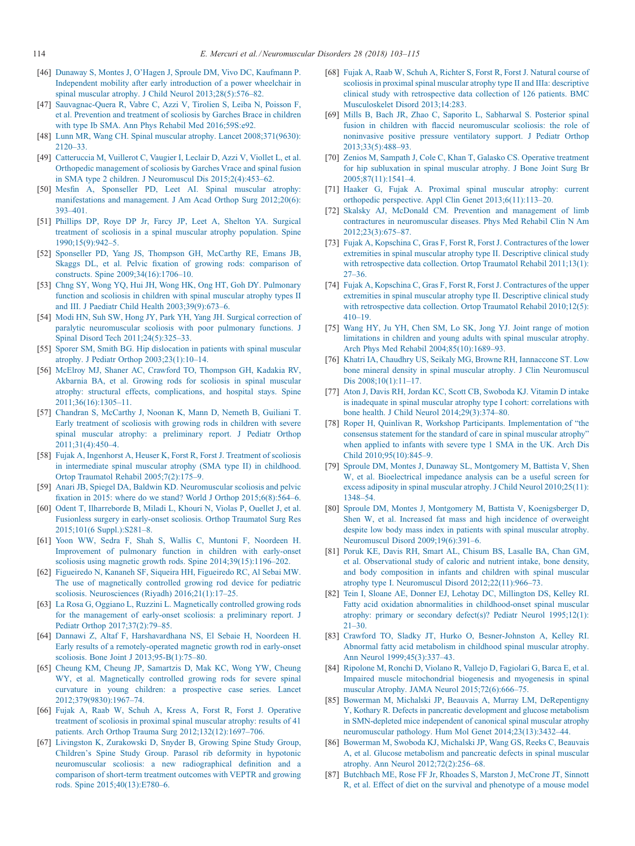- <span id="page-11-0"></span>[46] [Dunaway S, Montes J, O'Hagen J, Sproule DM, Vivo DC, Kaufmann P.](http://refhub.elsevier.com/S0960-8966(17)31284-1/sr0235) [Independent mobility after early introduction of a power wheelchair in](http://refhub.elsevier.com/S0960-8966(17)31284-1/sr0235) [spinal muscular atrophy. J Child Neurol 2013;28\(5\):576–82.](http://refhub.elsevier.com/S0960-8966(17)31284-1/sr0235)
- <span id="page-11-1"></span>[47] [Sauvagnac-Quera R, Vabre C, Azzi V, Tirolien S, Leiba N, Poisson F,](http://refhub.elsevier.com/S0960-8966(17)31284-1/sr0240) [et al. Prevention and treatment of scoliosis by Garches Brace in children](http://refhub.elsevier.com/S0960-8966(17)31284-1/sr0240) [with type Ib SMA. Ann Phys Rehabil Med 2016;59S:e92.](http://refhub.elsevier.com/S0960-8966(17)31284-1/sr0240)
- [48] [Lunn MR, Wang CH. Spinal muscular atrophy. Lancet 2008;371\(9630\):](http://refhub.elsevier.com/S0960-8966(17)31284-1/sr0245) [2120–33.](http://refhub.elsevier.com/S0960-8966(17)31284-1/sr0245)
- <span id="page-11-2"></span>[49] [Catteruccia M, Vuillerot C, Vaugier I, Leclair D, Azzi V, Viollet L, et al.](http://refhub.elsevier.com/S0960-8966(17)31284-1/sr0250) [Orthopedic management of scoliosis by Garches Vrace and spinal fusion](http://refhub.elsevier.com/S0960-8966(17)31284-1/sr0250) [in SMA type 2 children. J Neuromuscul Dis 2015;2\(4\):453–62.](http://refhub.elsevier.com/S0960-8966(17)31284-1/sr0250)
- <span id="page-11-3"></span>[50] [Mesfin A, Sponseller PD, Leet AI. Spinal muscular atrophy:](http://refhub.elsevier.com/S0960-8966(17)31284-1/sr0255) [manifestations and management. J Am Acad Orthop Surg 2012;20\(6\):](http://refhub.elsevier.com/S0960-8966(17)31284-1/sr0255) [393–401.](http://refhub.elsevier.com/S0960-8966(17)31284-1/sr0255)
- [51] [Phillips DP, Roye DP Jr, Farcy JP, Leet A, Shelton YA. Surgical](http://refhub.elsevier.com/S0960-8966(17)31284-1/sr0260) [treatment of scoliosis in a spinal muscular atrophy population. Spine](http://refhub.elsevier.com/S0960-8966(17)31284-1/sr0260) [1990;15\(9\):942–5.](http://refhub.elsevier.com/S0960-8966(17)31284-1/sr0260)
- [52] [Sponseller PD, Yang JS, Thompson GH, McCarthy RE, Emans JB,](http://refhub.elsevier.com/S0960-8966(17)31284-1/sr0265) [Skaggs DL, et al. Pelvic fixation of growing rods: comparison of](http://refhub.elsevier.com/S0960-8966(17)31284-1/sr0265) [constructs. Spine 2009;34\(16\):1706–10.](http://refhub.elsevier.com/S0960-8966(17)31284-1/sr0265)
- <span id="page-11-7"></span>[53] [Chng SY, Wong YQ, Hui JH, Wong HK, Ong HT, Goh DY. Pulmonary](http://refhub.elsevier.com/S0960-8966(17)31284-1/sr0270) [function and scoliosis in children with spinal muscular atrophy types II](http://refhub.elsevier.com/S0960-8966(17)31284-1/sr0270) [and III. J Paediatr Child Health 2003;39\(9\):673–6.](http://refhub.elsevier.com/S0960-8966(17)31284-1/sr0270)
- [54] [Modi HN, Suh SW, Hong JY, Park YH, Yang JH. Surgical correction of](http://refhub.elsevier.com/S0960-8966(17)31284-1/sr0275) [paralytic neuromuscular scoliosis with poor pulmonary functions. J](http://refhub.elsevier.com/S0960-8966(17)31284-1/sr0275) [Spinal Disord Tech 2011;24\(5\):325–33.](http://refhub.elsevier.com/S0960-8966(17)31284-1/sr0275)
- [55] [Sporer SM, Smith BG. Hip dislocation in patients with spinal muscular](http://refhub.elsevier.com/S0960-8966(17)31284-1/sr0280) [atrophy. J Pediatr Orthop 2003;23\(1\):10–14.](http://refhub.elsevier.com/S0960-8966(17)31284-1/sr0280)
- [56] [McElroy MJ, Shaner AC, Crawford TO, Thompson GH, Kadakia RV,](http://refhub.elsevier.com/S0960-8966(17)31284-1/sr0285) [Akbarnia BA, et al. Growing rods for scoliosis in spinal muscular](http://refhub.elsevier.com/S0960-8966(17)31284-1/sr0285) [atrophy: structural effects, complications, and hospital stays. Spine](http://refhub.elsevier.com/S0960-8966(17)31284-1/sr0285) [2011;36\(16\):1305–11.](http://refhub.elsevier.com/S0960-8966(17)31284-1/sr0285)
- [57] [Chandran S, McCarthy J, Noonan K, Mann D, Nemeth B, Guiliani T.](http://refhub.elsevier.com/S0960-8966(17)31284-1/sr0290) [Early treatment of scoliosis with growing rods in children with severe](http://refhub.elsevier.com/S0960-8966(17)31284-1/sr0290) [spinal muscular atrophy: a preliminary report. J Pediatr Orthop](http://refhub.elsevier.com/S0960-8966(17)31284-1/sr0290) [2011;31\(4\):450–4.](http://refhub.elsevier.com/S0960-8966(17)31284-1/sr0290)
- [58] [Fujak A, Ingenhorst A, Heuser K, Forst R, Forst J. Treatment of scoliosis](http://refhub.elsevier.com/S0960-8966(17)31284-1/sr0295) [in intermediate spinal muscular atrophy \(SMA type II\) in childhood.](http://refhub.elsevier.com/S0960-8966(17)31284-1/sr0295) [Ortop Traumatol Rehabil 2005;7\(2\):175–9.](http://refhub.elsevier.com/S0960-8966(17)31284-1/sr0295)
- [59] [Anari JB, Spiegel DA, Baldwin KD. Neuromuscular scoliosis and pelvic](http://refhub.elsevier.com/S0960-8966(17)31284-1/sr0300) [fixation in 2015: where do we stand? World J Orthop 2015;6\(8\):564–6.](http://refhub.elsevier.com/S0960-8966(17)31284-1/sr0300)
- [60] [Odent T, Ilharreborde B, Miladi L, Khouri N, Violas P, Ouellet J, et al.](http://refhub.elsevier.com/S0960-8966(17)31284-1/sr0305) [Fusionless surgery in early-onset scoliosis. Orthop Traumatol Surg Res](http://refhub.elsevier.com/S0960-8966(17)31284-1/sr0305) [2015;101\(6 Suppl.\):S281–8.](http://refhub.elsevier.com/S0960-8966(17)31284-1/sr0305)
- <span id="page-11-4"></span>[61] [Yoon WW, Sedra F, Shah S, Wallis C, Muntoni F, Noordeen H.](http://refhub.elsevier.com/S0960-8966(17)31284-1/sr0310) [Improvement of pulmonary function in children with early-onset](http://refhub.elsevier.com/S0960-8966(17)31284-1/sr0310) [scoliosis using magnetic growth rods. Spine 2014;39\(15\):1196–202.](http://refhub.elsevier.com/S0960-8966(17)31284-1/sr0310)
- <span id="page-11-5"></span>[62] [Figueiredo N, Kananeh SF, Siqueira HH, Figueiredo RC, Al Sebai MW.](http://refhub.elsevier.com/S0960-8966(17)31284-1/sr0315) [The use of magnetically controlled growing rod device for pediatric](http://refhub.elsevier.com/S0960-8966(17)31284-1/sr0315) [scoliosis. Neurosciences \(Riyadh\) 2016;21\(1\):17–25.](http://refhub.elsevier.com/S0960-8966(17)31284-1/sr0315)
- [63] [La Rosa G, Oggiano L, Ruzzini L. Magnetically controlled growing rods](http://refhub.elsevier.com/S0960-8966(17)31284-1/sr0320) [for the management of early-onset scoliosis: a preliminary report. J](http://refhub.elsevier.com/S0960-8966(17)31284-1/sr0320) [Pediatr Orthop 2017;37\(2\):79–85.](http://refhub.elsevier.com/S0960-8966(17)31284-1/sr0320)
- [64] [Dannawi Z, Altaf F, Harshavardhana NS, El Sebaie H, Noordeen H.](http://refhub.elsevier.com/S0960-8966(17)31284-1/sr0325) [Early results of a remotely-operated magnetic growth rod in early-onset](http://refhub.elsevier.com/S0960-8966(17)31284-1/sr0325) [scoliosis. Bone Joint J 2013;95-B\(1\):75–80.](http://refhub.elsevier.com/S0960-8966(17)31284-1/sr0325)
- [65] [Cheung KM, Cheung JP, Samartzis D, Mak KC, Wong YW, Cheung](http://refhub.elsevier.com/S0960-8966(17)31284-1/sr0330) [WY, et al. Magnetically controlled growing rods for severe spinal](http://refhub.elsevier.com/S0960-8966(17)31284-1/sr0330) [curvature in young children: a prospective case series. Lancet](http://refhub.elsevier.com/S0960-8966(17)31284-1/sr0330) [2012;379\(9830\):1967–74.](http://refhub.elsevier.com/S0960-8966(17)31284-1/sr0330)
- <span id="page-11-6"></span>[66] [Fujak A, Raab W, Schuh A, Kress A, Forst R, Forst J. Operative](http://refhub.elsevier.com/S0960-8966(17)31284-1/sr0335) [treatment of scoliosis in proximal spinal muscular atrophy: results of 41](http://refhub.elsevier.com/S0960-8966(17)31284-1/sr0335) [patients. Arch Orthop Trauma Surg 2012;132\(12\):1697–706.](http://refhub.elsevier.com/S0960-8966(17)31284-1/sr0335)
- <span id="page-11-8"></span>[67] [Livingston K, Zurakowski D, Snyder B, Growing Spine Study Group,](http://refhub.elsevier.com/S0960-8966(17)31284-1/sr0340) [Children's Spine Study Group. Parasol rib deformity in hypotonic](http://refhub.elsevier.com/S0960-8966(17)31284-1/sr0340) [neuromuscular scoliosis: a new radiographical definition and a](http://refhub.elsevier.com/S0960-8966(17)31284-1/sr0340) [comparison of short-term treatment outcomes with VEPTR and growing](http://refhub.elsevier.com/S0960-8966(17)31284-1/sr0340) [rods. Spine 2015;40\(13\):E780–6.](http://refhub.elsevier.com/S0960-8966(17)31284-1/sr0340)
- [68] [Fujak A, Raab W, Schuh A, Richter S, Forst R, Forst J. Natural course of](http://refhub.elsevier.com/S0960-8966(17)31284-1/sr0345) [scoliosis in proximal spinal muscular atrophy type II and IIIa: descriptive](http://refhub.elsevier.com/S0960-8966(17)31284-1/sr0345) [clinical study with retrospective data collection of 126 patients. BMC](http://refhub.elsevier.com/S0960-8966(17)31284-1/sr0345) [Musculoskelet Disord 2013;14:283.](http://refhub.elsevier.com/S0960-8966(17)31284-1/sr0345)
- [69] [Mills B, Bach JR, Zhao C, Saporito L, Sabharwal S. Posterior spinal](http://refhub.elsevier.com/S0960-8966(17)31284-1/sr0350) [fusion in children with flaccid neuromuscular scoliosis: the role of](http://refhub.elsevier.com/S0960-8966(17)31284-1/sr0350) [noninvasive positive pressure ventilatory support. J Pediatr Orthop](http://refhub.elsevier.com/S0960-8966(17)31284-1/sr0350) [2013;33\(5\):488–93.](http://refhub.elsevier.com/S0960-8966(17)31284-1/sr0350)
- [70] [Zenios M, Sampath J, Cole C, Khan T, Galasko CS. Operative treatment](http://refhub.elsevier.com/S0960-8966(17)31284-1/sr0355) [for hip subluxation in spinal muscular atrophy. J Bone Joint Surg Br](http://refhub.elsevier.com/S0960-8966(17)31284-1/sr0355) [2005;87\(11\):1541–4.](http://refhub.elsevier.com/S0960-8966(17)31284-1/sr0355)
- [71] [Haaker G, Fujak A. Proximal spinal muscular atrophy: current](http://refhub.elsevier.com/S0960-8966(17)31284-1/sr0360) [orthopedic perspective. Appl Clin Genet 2013;6\(11\):113–20.](http://refhub.elsevier.com/S0960-8966(17)31284-1/sr0360)
- [72] [Skalsky AJ, McDonald CM. Prevention and management of limb](http://refhub.elsevier.com/S0960-8966(17)31284-1/sr0365) [contractures in neuromuscular diseases. Phys Med Rehabil Clin N Am](http://refhub.elsevier.com/S0960-8966(17)31284-1/sr0365) [2012;23\(3\):675–87.](http://refhub.elsevier.com/S0960-8966(17)31284-1/sr0365)
- [73] [Fujak A, Kopschina C, Gras F, Forst R, Forst J. Contractures of the lower](http://refhub.elsevier.com/S0960-8966(17)31284-1/sr0370) [extremities in spinal muscular atrophy type II. Descriptive clinical study](http://refhub.elsevier.com/S0960-8966(17)31284-1/sr0370) [with retrospective data collection. Ortop Traumatol Rehabil 2011;13\(1\):](http://refhub.elsevier.com/S0960-8966(17)31284-1/sr0370) [27–36.](http://refhub.elsevier.com/S0960-8966(17)31284-1/sr0370)
- [74] [Fujak A, Kopschina C, Gras F, Forst R, Forst J. Contractures of the upper](http://refhub.elsevier.com/S0960-8966(17)31284-1/sr0375) [extremities in spinal muscular atrophy type II. Descriptive clinical study](http://refhub.elsevier.com/S0960-8966(17)31284-1/sr0375) [with retrospective data collection. Ortop Traumatol Rehabil 2010;12\(5\):](http://refhub.elsevier.com/S0960-8966(17)31284-1/sr0375) [410–19.](http://refhub.elsevier.com/S0960-8966(17)31284-1/sr0375)
- [75] [Wang HY, Ju YH, Chen SM, Lo SK, Jong YJ. Joint range of motion](http://refhub.elsevier.com/S0960-8966(17)31284-1/sr0380) [limitations in children and young adults with spinal muscular atrophy.](http://refhub.elsevier.com/S0960-8966(17)31284-1/sr0380) [Arch Phys Med Rehabil 2004;85\(10\):1689–93.](http://refhub.elsevier.com/S0960-8966(17)31284-1/sr0380)
- <span id="page-11-9"></span>[76] [Khatri IA, Chaudhry US, Seikaly MG, Browne RH, Iannaccone ST. Low](http://refhub.elsevier.com/S0960-8966(17)31284-1/sr0385) [bone mineral density in spinal muscular atrophy. J Clin Neuromuscul](http://refhub.elsevier.com/S0960-8966(17)31284-1/sr0385) Dis  $2008$ ; 10(1): 11–17.
- [77] [Aton J, Davis RH, Jordan KC, Scott CB, Swoboda KJ. Vitamin D intake](http://refhub.elsevier.com/S0960-8966(17)31284-1/sr0390) [is inadequate in spinal muscular atrophy type I cohort: correlations with](http://refhub.elsevier.com/S0960-8966(17)31284-1/sr0390) [bone health. J Child Neurol 2014;29\(3\):374–80.](http://refhub.elsevier.com/S0960-8966(17)31284-1/sr0390)
- [78] [Roper H, Quinlivan R, Workshop Participants. Implementation of "the](http://refhub.elsevier.com/S0960-8966(17)31284-1/sr0395) [consensus statement for the standard of care in spinal muscular atrophy"](http://refhub.elsevier.com/S0960-8966(17)31284-1/sr0395) [when applied to infants with severe type 1 SMA in the UK. Arch Dis](http://refhub.elsevier.com/S0960-8966(17)31284-1/sr0395) [Child 2010;95\(10\):845–9.](http://refhub.elsevier.com/S0960-8966(17)31284-1/sr0395)
- <span id="page-11-10"></span>[79] [Sproule DM, Montes J, Dunaway SL, Montgomery M, Battista V, Shen](http://refhub.elsevier.com/S0960-8966(17)31284-1/sr0400) [W, et al. Bioelectrical impedance analysis can be a useful screen for](http://refhub.elsevier.com/S0960-8966(17)31284-1/sr0400) [excess adiposity in spinal muscular atrophy. J Child Neurol 2010;25\(11\):](http://refhub.elsevier.com/S0960-8966(17)31284-1/sr0400) [1348–54.](http://refhub.elsevier.com/S0960-8966(17)31284-1/sr0400)
- <span id="page-11-14"></span>[80] [Sproule DM, Montes J, Montgomery M, Battista V, Koenigsberger D,](http://refhub.elsevier.com/S0960-8966(17)31284-1/sr0405) [Shen W, et al. Increased fat mass and high incidence of overweight](http://refhub.elsevier.com/S0960-8966(17)31284-1/sr0405) [despite low body mass index in patients with spinal muscular atrophy.](http://refhub.elsevier.com/S0960-8966(17)31284-1/sr0405) [Neuromuscul Disord 2009;19\(6\):391–6.](http://refhub.elsevier.com/S0960-8966(17)31284-1/sr0405)
- [81] [Poruk KE, Davis RH, Smart AL, Chisum BS, Lasalle BA, Chan GM,](http://refhub.elsevier.com/S0960-8966(17)31284-1/sr0410) [et al. Observational study of caloric and nutrient intake, bone density,](http://refhub.elsevier.com/S0960-8966(17)31284-1/sr0410) [and body composition in infants and children with spinal muscular](http://refhub.elsevier.com/S0960-8966(17)31284-1/sr0410) [atrophy type I. Neuromuscul Disord 2012;22\(11\):966–73.](http://refhub.elsevier.com/S0960-8966(17)31284-1/sr0410)
- <span id="page-11-11"></span>[82] [Tein I, Sloane AE, Donner EJ, Lehotay DC, Millington DS, Kelley RI.](http://refhub.elsevier.com/S0960-8966(17)31284-1/sr0415) [Fatty acid oxidation abnormalities in childhood-onset spinal muscular](http://refhub.elsevier.com/S0960-8966(17)31284-1/sr0415) [atrophy: primary or secondary defect\(s\)? Pediatr Neurol 1995;12\(1\):](http://refhub.elsevier.com/S0960-8966(17)31284-1/sr0415) [21–30.](http://refhub.elsevier.com/S0960-8966(17)31284-1/sr0415)
- <span id="page-11-13"></span>[83] [Crawford TO, Sladky JT, Hurko O, Besner-Johnston A, Kelley RI.](http://refhub.elsevier.com/S0960-8966(17)31284-1/sr0420) [Abnormal fatty acid metabolism in childhood spinal muscular atrophy.](http://refhub.elsevier.com/S0960-8966(17)31284-1/sr0420) [Ann Neurol 1999;45\(3\):337–43.](http://refhub.elsevier.com/S0960-8966(17)31284-1/sr0420)
- [84] [Ripolone M, Ronchi D, Violano R, Vallejo D, Fagiolari G, Barca E, et al.](http://refhub.elsevier.com/S0960-8966(17)31284-1/sr0425) [Impaired muscle mitochondrial biogenesis and myogenesis in spinal](http://refhub.elsevier.com/S0960-8966(17)31284-1/sr0425) [muscular Atrophy. JAMA Neurol 2015;72\(6\):666–75.](http://refhub.elsevier.com/S0960-8966(17)31284-1/sr0425)
- <span id="page-11-12"></span>[85] [Bowerman M, Michalski JP, Beauvais A, Murray LM, DeRepentigny](http://refhub.elsevier.com/S0960-8966(17)31284-1/sr0430) [Y, Kothary R. Defects in pancreatic development and glucose metabolism](http://refhub.elsevier.com/S0960-8966(17)31284-1/sr0430) [in SMN-depleted mice independent of canonical spinal muscular atrophy](http://refhub.elsevier.com/S0960-8966(17)31284-1/sr0430) [neuromuscular pathology. Hum Mol Genet 2014;23\(13\):3432–44.](http://refhub.elsevier.com/S0960-8966(17)31284-1/sr0430)
- <span id="page-11-15"></span>[86] [Bowerman M, Swoboda KJ, Michalski JP, Wang GS, Reeks C, Beauvais](http://refhub.elsevier.com/S0960-8966(17)31284-1/sr0435) [A, et al. Glucose metabolism and pancreatic defects in spinal muscular](http://refhub.elsevier.com/S0960-8966(17)31284-1/sr0435) [atrophy. Ann Neurol 2012;72\(2\):256–68.](http://refhub.elsevier.com/S0960-8966(17)31284-1/sr0435)
- [87] [Butchbach ME, Rose FF Jr, Rhoades S, Marston J, McCrone JT, Sinnott](http://refhub.elsevier.com/S0960-8966(17)31284-1/sr0440) [R, et al. Effect of diet on the survival and phenotype of a mouse model](http://refhub.elsevier.com/S0960-8966(17)31284-1/sr0440)